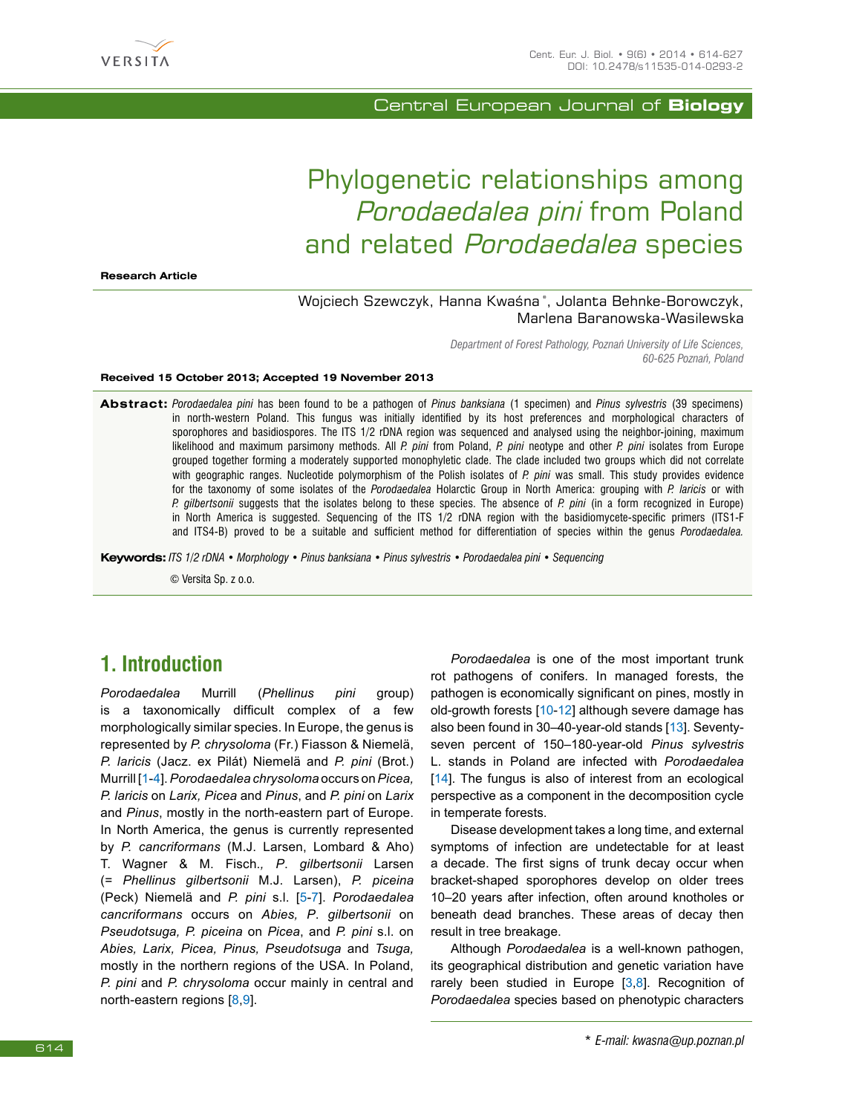

Central European Journal of **Biology**

# Phylogenetic relationships among Porodaedalea pini from Poland and related Porodaedalea species

**Research Article**

### Wojciech Szewczyk, Hanna Kwaśna \*, Jolanta Behnke-Borowczyk, Marlena Baranowska-Wasilewska

*Department of Forest Pathology, Poznań University of Life Sciences, 60-625 Poznań, Poland* 

**Received 15 October 2013; Accepted 19 November 2013**

**Abstract:** *Porodaedalea pini* has been found to be a pathogen of *Pinus banksiana* (1 specimen) and *Pinus sylvestris* (39 specimens) in north-western Poland. This fungus was initially identified by its host preferences and morphological characters of sporophores and basidiospores. The ITS 1/2 rDNA region was sequenced and analysed using the neighbor-joining, maximum likelihood and maximum parsimony methods. All *P. pini* from Poland, *P. pini* neotype and other *P. pini* isolates from Europe grouped together forming a moderately supported monophyletic clade. The clade included two groups which did not correlate with geographic ranges. Nucleotide polymorphism of the Polish isolates of *P. pini* was small. This study provides evidence for the taxonomy of some isolates of the *Porodaedalea* Holarctic Group in North America: grouping with *P. laricis* or with *P. gilbertsonii* suggests that the isolates belong to these species. The absence of *P. pini* (in a form recognized in Europe) in North America is suggested. Sequencing of the ITS 1/2 rDNA region with the basidiomycete-specific primers (ITS1-F and ITS4-B) proved to be a suitable and sufficient method for differentiation of species within the genus *Porodaedalea.*

**Keywords:** *ITS 1/2 rDNA • Morphology • Pinus banksiana • Pinus sylvestris • Porodaedalea pini • Sequencing*

© Versita Sp. z o.o.

## **1. Introduction**

*Porodaedalea* Murrill (*Phellinus pini* group) is a taxonomically difficult complex of a few morphologically similar species. In Europe, the genus is represented by *P. chrysoloma* (Fr.) Fiasson & Niemelä, *P. laricis* (Jacz. ex Pilát) Niemelä and *P. pini* (Brot.) Murrill [[1](#page--1-0)[-4](#page--1-1)]. *Porodaedalea chrysoloma* occurs on *Picea, P. laricis* on *Larix, Picea* and *Pinus*, and *P. pini* on *Larix* and *Pinus*, mostly in the north-eastern part of Europe. In North America, the genus is currently represented by *P. cancriformans* (M.J. Larsen, Lombard & Aho) T. Wagner & M. Fisch.*, P*. *gilbertsonii* Larsen (= *Phellinus gilbertsonii* M.J. Larsen), *P. piceina*  (Peck) Niemelä and *P. pini* s.l. [[5](#page--1-2)-[7](#page--1-3)]. *Porodaedalea cancriformans* occurs on *Abies, P*. *gilbertsonii* on *Pseudotsuga, P. piceina* on *Picea*, and *P. pini* s.l. on *Abies, Larix, Picea, Pinus, Pseudotsuga* and *Tsuga,*  mostly in the northern regions of the USA. In Poland, *P. pini* and *P. chrysoloma* occur mainly in central and north-eastern regions [[8](#page--1-4),[9](#page--1-5)].

*Porodaedalea* is one of the most important trunk rot pathogens of conifers. In managed forests, the pathogen is economically significant on pines, mostly in old-growth forests [[10](#page--1-6)[-12](#page--1-7)] although severe damage has also been found in 30–40-year-old stands [[13\]](#page--1-8). Seventyseven percent of 150–180-year-old *Pinus sylvestris*  L. stands in Poland are infected with *Porodaedalea* [\[14](#page--1-9)]. The fungus is also of interest from an ecological perspective as a component in the decomposition cycle in temperate forests.

Disease development takes a long time, and external symptoms of infection are undetectable for at least a decade. The first signs of trunk decay occur when bracket-shaped sporophores develop on older trees 10–20 years after infection, often around knotholes or beneath dead branches. These areas of decay then result in tree breakage.

Although *Porodaedalea* is a well-known pathogen, its geographical distribution and genetic variation have rarely been studied in Europe  $[3,8]$  $[3,8]$  $[3,8]$  $[3,8]$ . Recognition of *Porodaedalea* species based on phenotypic characters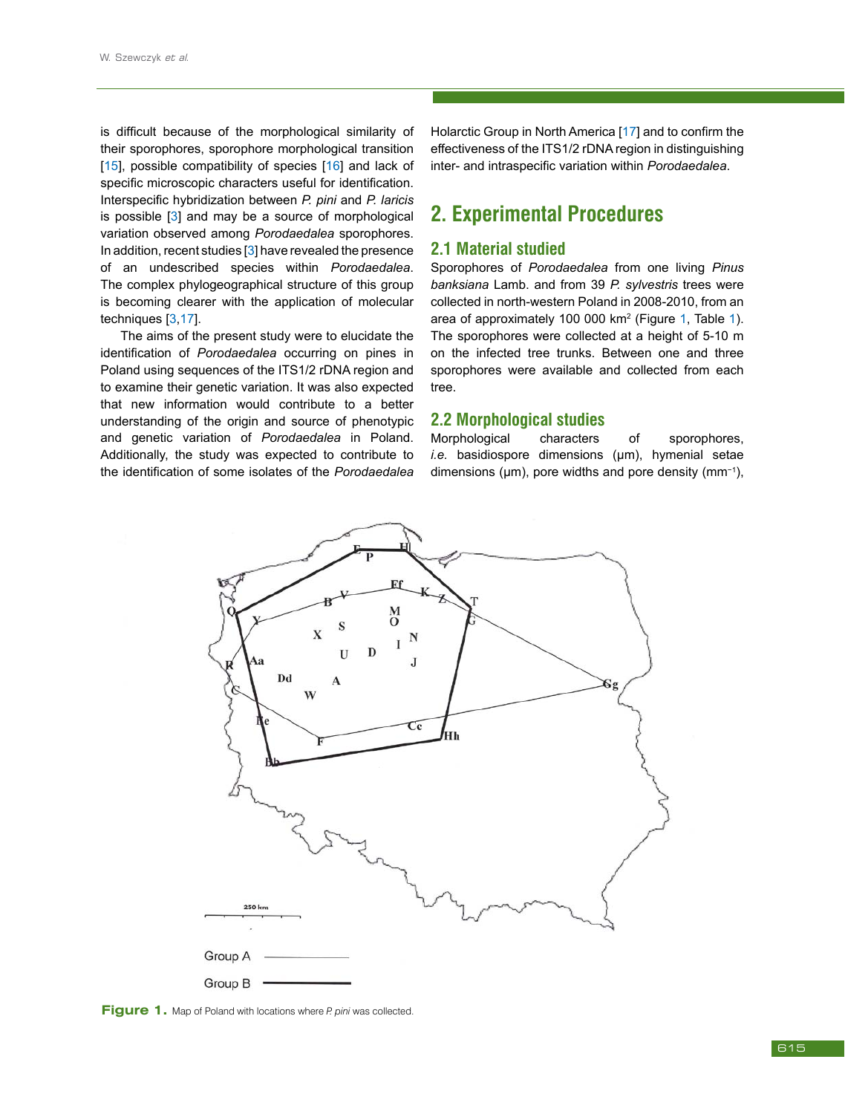is difficult because of the morphological similarity of their sporophores, sporophore morphological transition [\[15](#page--1-11)], possible compatibility of species [[16](#page--1-12)] and lack of specific microscopic characters useful for identification. Interspecific hybridization between *P. pini* and *P. laricis* is possible [\[3](#page--1-10)] and may be a source of morphological variation observed among *Porodaedalea* sporophores. In addition, recent studies [\[3](#page--1-10)] have revealed the presence of an undescribed species within *Porodaedalea*. The complex phylogeographical structure of this group is becoming clearer with the application of molecular techniques [\[3](#page--1-10),[17](#page--1-13)].

The aims of the present study were to elucidate the identification of *Porodaedalea* occurring on pines in Poland using sequences of the ITS1/2 rDNA region and to examine their genetic variation. It was also expected that new information would contribute to a better understanding of the origin and source of phenotypic and genetic variation of *Porodaedalea* in Poland. Additionally, the study was expected to contribute to the identification of some isolates of the *Porodaedalea* 

Holarctic Group in North America [[17\]](#page--1-13) and to confirm the effectiveness of the ITS1/2 rDNA region in distinguishing inter- and intraspecific variation within *Porodaedalea*.

## **2. Experimental Procedures**

### **2.1 Material studied**

Sporophores of *Porodaedalea* from one living *Pinus banksiana* Lamb. and from 39 *P. sylvestris* trees were collected in north-western Poland in 2008-2010, from an area of approximately 100 000 km<sup>2</sup> (Figure [1](#page--1-14), Table [1](#page--1-15)). The sporophores were collected at a height of 5-10 m on the infected tree trunks. Between one and three sporophores were available and collected from each tree.

#### **2.2 Morphological studies**

Morphological characters of sporophores, *i.e.* basidiospore dimensions (μm), hymenial setae dimensions (μm), pore widths and pore density (mm−1),



**Figure 1.** Map of Poland with locations where *P. pini* was collected.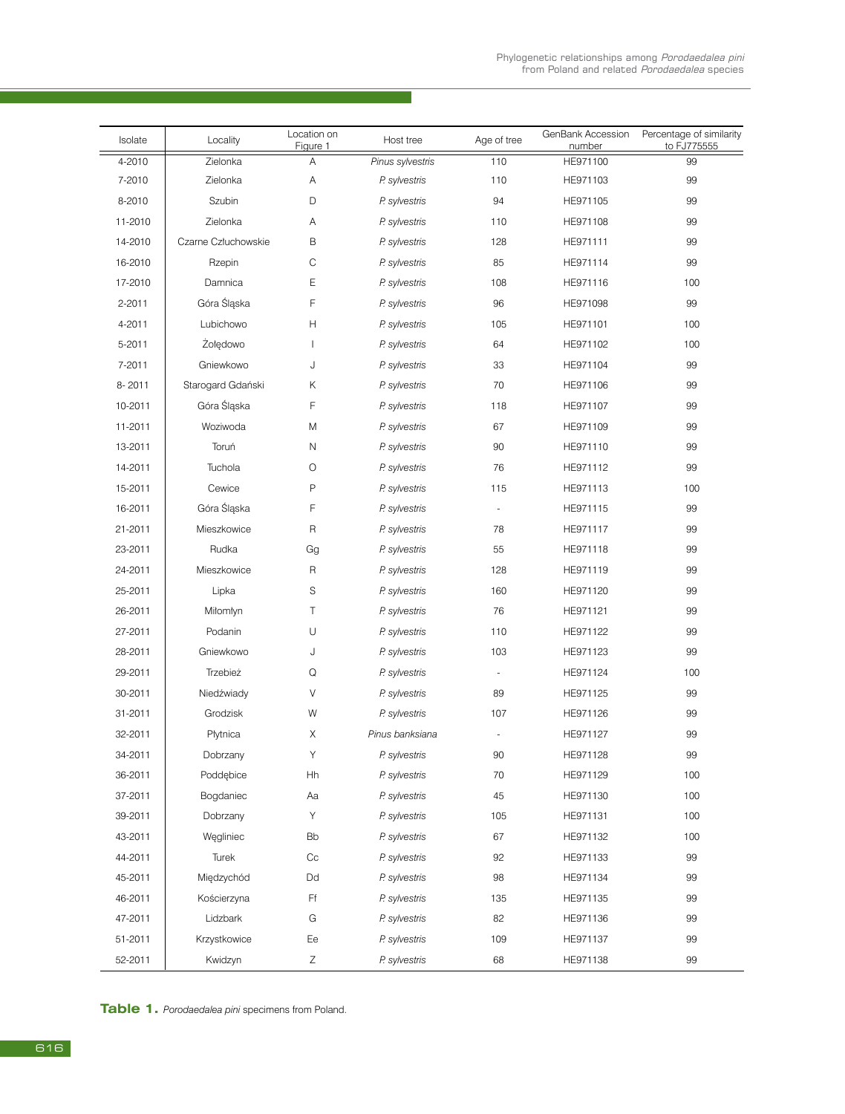| Isolate | Locality            | Location on<br>Figure 1  | Host tree        | Age of tree | GenBank Accession<br>number | Percentage of similarity<br>to FJ775555 |
|---------|---------------------|--------------------------|------------------|-------------|-----------------------------|-----------------------------------------|
| 4-2010  | Zielonka            | A                        | Pinus sylvestris | 110         | HE971100                    | 99                                      |
| 7-2010  | Zielonka            | Α                        | P. sylvestris    | 110         | HE971103                    | 99                                      |
| 8-2010  | Szubin              | D                        | P. sylvestris    | 94          | HE971105                    | 99                                      |
| 11-2010 | Zielonka            | Α                        | P. sylvestris    | 110         | HE971108                    | 99                                      |
| 14-2010 | Czarne Człuchowskie | B                        | P. sylvestris    | 128         | HE971111                    | 99                                      |
| 16-2010 | Rzepin              | C                        | P. sylvestris    | 85          | HE971114                    | 99                                      |
| 17-2010 | Damnica             | E                        | P. sylvestris    | 108         | HE971116                    | 100                                     |
| 2-2011  | Góra Śląska         | F                        | P. sylvestris    | 96          | HE971098                    | 99                                      |
| 4-2011  | Lubichowo           | Η                        | P. sylvestris    | 105         | HE971101                    | 100                                     |
| 5-2011  | Żołędowo            | $\overline{\phantom{a}}$ | P. sylvestris    | 64          | HE971102                    | 100                                     |
| 7-2011  | Gniewkowo           | J                        | P. sylvestris    | 33          | HE971104                    | 99                                      |
| 8-2011  | Starogard Gdański   | Κ                        | P. sylvestris    | 70          | HE971106                    | 99                                      |
| 10-2011 | Góra Śląska         | F                        | P. sylvestris    | 118         | HE971107                    | 99                                      |
| 11-2011 | Woziwoda            | M                        | P. sylvestris    | 67          | HE971109                    | 99                                      |
| 13-2011 | Toruń               | N                        | P. sylvestris    | 90          | HE971110                    | 99                                      |
| 14-2011 | Tuchola             | $\circ$                  | P. sylvestris    | 76          | HE971112                    | 99                                      |
| 15-2011 | Cewice              | P                        | P. sylvestris    | 115         | HE971113                    | 100                                     |
| 16-2011 | Góra Śląska         | F                        | P. sylvestris    | ä,          | HE971115                    | 99                                      |
| 21-2011 | Mieszkowice         | R                        | P. sylvestris    | 78          | HE971117                    | 99                                      |
| 23-2011 | Rudka               | Gg                       | P. sylvestris    | 55          | HE971118                    | 99                                      |
| 24-2011 | Mieszkowice         | R                        | P. sylvestris    | 128         | HE971119                    | 99                                      |
| 25-2011 | Lipka               | S                        | P. sylvestris    | 160         | HE971120                    | 99                                      |
| 26-2011 | Miłomłyn            | Τ                        | P. sylvestris    | 76          | HE971121                    | 99                                      |
| 27-2011 | Podanin             | U                        | P. sylvestris    | 110         | HE971122                    | 99                                      |
| 28-2011 | Gniewkowo           | J                        | P. sylvestris    | 103         | HE971123                    | 99                                      |
| 29-2011 | Trzebież            | Q                        | P. sylvestris    | ä,          | HE971124                    | 100                                     |
| 30-2011 | Niedźwiady          | V                        | P. sylvestris    | 89          | HE971125                    | 99                                      |
| 31-2011 | Grodzisk            | W                        | P. sylvestris    | 107         | HE971126                    | 99                                      |
| 32-2011 | Płytnica            | Χ                        | Pinus banksiana  |             | HE971127                    | 99                                      |
| 34-2011 | Dobrzany            | Υ                        | P. sylvestris    | 90          | HE971128                    | 99                                      |
| 36-2011 | Poddebice           | Hh                       | P. sylvestris    | 70          | HE971129                    | 100                                     |
| 37-2011 | Bogdaniec           | Aa                       | P. sylvestris    | 45          | HE971130                    | 100                                     |
| 39-2011 | Dobrzany            | Υ                        | P. sylvestris    | 105         | HE971131                    | 100                                     |
| 43-2011 | Węgliniec           | Bb                       | P. sylvestris    | 67          | HE971132                    | 100                                     |
| 44-2011 | Turek               | Сc                       | P. sylvestris    | 92          | HE971133                    | 99                                      |
| 45-2011 | Międzychód          | Dd                       | P. sylvestris    | 98          | HE971134                    | 99                                      |
| 46-2011 | Kościerzyna         | Ff                       | P. sylvestris    | 135         | HE971135                    | 99                                      |
| 47-2011 | Lidzbark            | G                        | P. sylvestris    | 82          | HE971136                    | 99                                      |
| 51-2011 | Krzystkowice        | Ee                       | P. sylvestris    | 109         | HE971137                    | 99                                      |
| 52-2011 | Kwidzyn             | Ζ                        | P. sylvestris    | 68          | HE971138                    | 99                                      |

**Table 1.** *Porodaedalea pini* specimens from Poland.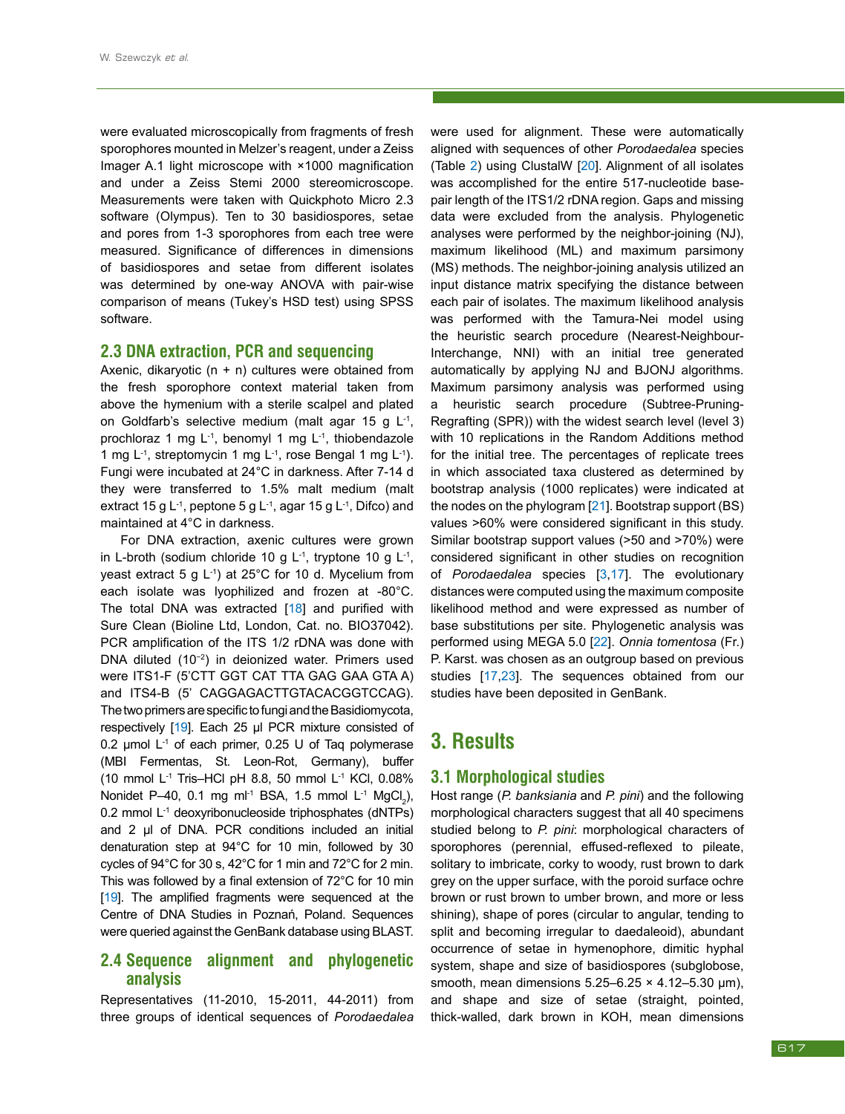were evaluated microscopically from fragments of fresh sporophores mounted in Melzer's reagent, under a Zeiss Imager A.1 light microscope with ×1000 magnification and under a Zeiss Stemi 2000 stereomicroscope. Measurements were taken with Quickphoto Micro 2.3 software (Olympus). Ten to 30 basidiospores, setae and pores from 1-3 sporophores from each tree were measured. Significance of differences in dimensions of basidiospores and setae from different isolates was determined by one-way ANOVA with pair-wise comparison of means (Tukey's HSD test) using SPSS software.

#### **2.3 DNA extraction, PCR and sequencing**

Axenic, dikaryotic  $(n + n)$  cultures were obtained from the fresh sporophore context material taken from above the hymenium with a sterile scalpel and plated on Goldfarb's selective medium (malt agar 15 g L<sup>-1</sup>, prochloraz 1 mg  $L^{-1}$ , benomyl 1 mg  $L^{-1}$ , thiobendazole 1 mg L-1, streptomycin 1 mg L-1, rose Bengal 1 mg L-1). Fungi were incubated at 24°C in darkness. After 7-14 d they were transferred to 1.5% malt medium (malt extract 15 g L<sup>-1</sup>, peptone 5 g L<sup>-1</sup>, agar 15 g L<sup>-1</sup>, Difco) and maintained at 4°C in darkness.

For DNA extraction, axenic cultures were grown in L-broth (sodium chloride 10 g L<sup>-1</sup>, tryptone 10 g L<sup>-1</sup>, yeast extract 5 g L-1) at 25°C for 10 d. Mycelium from each isolate was lyophilized and frozen at -80°C. The total DNA was extracted [[18](#page--1-16)] and purified with Sure Clean (Bioline Ltd, London, Cat. no. BIO37042). PCR amplification of the ITS 1/2 rDNA was done with DNA diluted (10−2) in deionized water. Primers used were ITS1-F (5'CTT GGT CAT TTA GAG GAA GTA A) and ITS4-B (5' CAGGAGACTTGTACACGGTCCAG). The two primers are specific to fungi and the Basidiomycota, respectively [[19](#page--1-17)]. Each 25 μl PCR mixture consisted of 0.2 μmol L-1 of each primer, 0.25 U of Taq polymerase (MBI Fermentas, St. Leon-Rot, Germany), buffer (10 mmol L-1 Tris–HCl pH 8.8, 50 mmol L-1 KCl, 0.08% Nonidet P–40, 0.1 mg ml<sup>-1</sup> BSA, 1.5 mmol L<sup>-1</sup> MgCl<sub>2</sub>), 0.2 mmol L-1 deoxyribonucleoside triphosphates (dNTPs) and 2 μl of DNA. PCR conditions included an initial denaturation step at 94°C for 10 min, followed by 30 cycles of 94°C for 30 s, 42°C for 1 min and 72°C for 2 min. This was followed by a final extension of 72°C for 10 min [\[19](#page--1-17)]. The amplified fragments were sequenced at the Centre of DNA Studies in Poznań, Poland. Sequences were queried against the GenBank database using BLAST.

### **2.4 Sequence alignment and phylogenetic analysis**

Representatives (11-2010, 15-2011, 44-2011) from three groups of identical sequences of *Porodaedalea* were used for alignment. These were automatically aligned with sequences of other *Porodaedalea* species (Table [2](#page--1-18)) using ClustalW [[20](#page--1-19)]. Alignment of all isolates was accomplished for the entire 517-nucleotide basepair length of the ITS1/2 rDNA region. Gaps and missing data were excluded from the analysis. Phylogenetic analyses were performed by the neighbor-joining (NJ), maximum likelihood (ML) and maximum parsimony (MS) methods. The neighbor-joining analysis utilized an input distance matrix specifying the distance between each pair of isolates. The maximum likelihood analysis was performed with the Tamura-Nei model using the heuristic search procedure (Nearest-Neighbour-Interchange, NNI) with an initial tree generated automatically by applying NJ and BJONJ algorithms. Maximum parsimony analysis was performed using a heuristic search procedure (Subtree-Pruning-Regrafting (SPR)) with the widest search level (level 3) with 10 replications in the Random Additions method for the initial tree. The percentages of replicate trees in which associated taxa clustered as determined by bootstrap analysis (1000 replicates) were indicated at the nodes on the phylogram [[21](#page--1-20)]. Bootstrap support (BS) values >60% were considered significant in this study. Similar bootstrap support values (>50 and >70%) were considered significant in other studies on recognition of *Porodaedalea* species [[3,](#page--1-10)[17](#page--1-13)]. The evolutionary distances were computed using the maximum composite likelihood method and were expressed as number of base substitutions per site. Phylogenetic analysis was performed using MEGA 5.0 [[22](#page--1-21)]. *Onnia tomentosa* (Fr.) P. Karst. was chosen as an outgroup based on previous studies [[17](#page--1-13)[,23](#page--1-22)]. The sequences obtained from our studies have been deposited in GenBank.

### **3. Results**

### **3.1 Morphological studies**

Host range (*P. banksiania* and *P. pini*) and the following morphological characters suggest that all 40 specimens studied belong to *P. pini*: morphological characters of sporophores (perennial, effused-reflexed to pileate, solitary to imbricate, corky to woody, rust brown to dark grey on the upper surface, with the poroid surface ochre brown or rust brown to umber brown, and more or less shining), shape of pores (circular to angular, tending to split and becoming irregular to daedaleoid), abundant occurrence of setae in hymenophore, dimitic hyphal system, shape and size of basidiospores (subglobose, smooth, mean dimensions  $5.25-6.25 \times 4.12-5.30 \mu m$ ), and shape and size of setae (straight, pointed, thick-walled, dark brown in KOH, mean dimensions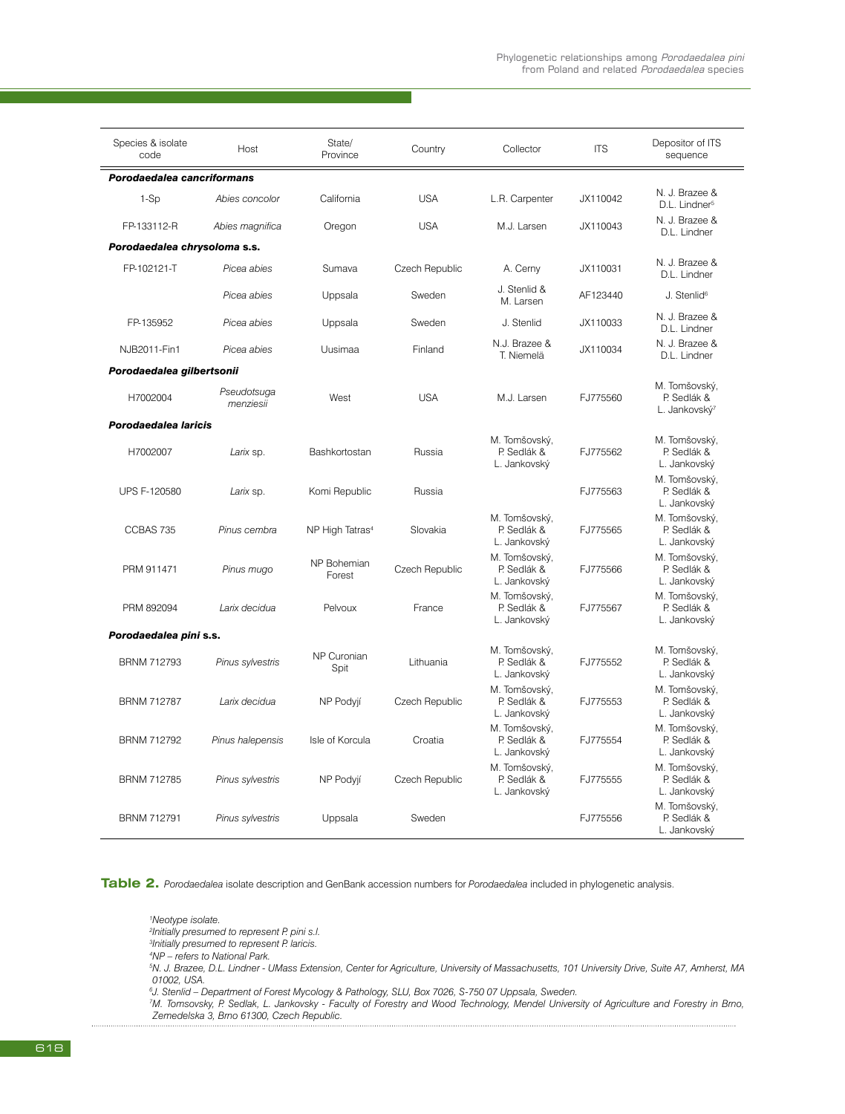| Species & isolate<br>code    | Host                     | State/<br>Province          | Country        | Collector                                    | <b>ITS</b> | Depositor of ITS<br>sequence                              |
|------------------------------|--------------------------|-----------------------------|----------------|----------------------------------------------|------------|-----------------------------------------------------------|
| Porodaedalea cancriformans   |                          |                             |                |                                              |            |                                                           |
| $1-Sp$                       | Abies concolor           | California                  | <b>USA</b>     | L.R. Carpenter                               | JX110042   | N. J. Brazee &<br>D.L. Lindner <sup>5</sup>               |
| FP-133112-R                  | Abies magnifica          | Oregon                      | <b>USA</b>     | M.J. Larsen                                  | JX110043   | N. J. Brazee &<br>D.L. Lindner                            |
| Porodaedalea chrysoloma s.s. |                          |                             |                |                                              |            |                                                           |
| FP-102121-T                  | Picea abies              | Sumava                      | Czech Republic | A. Cerny                                     | JX110031   | N. J. Brazee &<br>D.L. Lindner                            |
|                              | Picea abies              | Uppsala                     | Sweden         | J. Stenlid &<br>M. Larsen                    | AF123440   | J. Stenlid <sup>6</sup>                                   |
| FP-135952                    | Picea abies              | Uppsala                     | Sweden         | J. Stenlid                                   | JX110033   | N. J. Brazee &<br>D.L. Lindner                            |
| NJB2011-Fin1                 | Picea abies              | Uusimaa                     | Finland        | N.J. Brazee &<br>T. Niemelä                  | JX110034   | N. J. Brazee &<br>D.L. Lindner                            |
| Porodaedalea gilbertsonii    |                          |                             |                |                                              |            |                                                           |
| H7002004                     | Pseudotsuga<br>menziesii | West                        | <b>USA</b>     | M.J. Larsen                                  | FJ775560   | M. Tomšovský,<br>P. Sedlák &<br>L. Jankovský <sup>7</sup> |
| Porodaedalea laricis         |                          |                             |                |                                              |            |                                                           |
| H7002007                     | Larix sp.                | Bashkortostan               | Russia         | M. Tomšovský,<br>P. Sedlák &<br>L. Jankovský | FJ775562   | M. Tomšovský,<br>P. Sedlák &<br>L. Jankovský              |
| <b>UPS F-120580</b>          | Larix sp.                | Komi Republic               | Russia         |                                              | FJ775563   | M. Tomšovský,<br>P. Sedlák &<br>L. Jankovský              |
| CCBAS 735                    | Pinus cembra             | NP High Tatras <sup>4</sup> | Slovakia       | M. Tomšovský,<br>P. Sedlák &<br>L. Jankovský | FJ775565   | M. Tomšovský,<br>P. Sedlák &<br>L. Jankovský              |
| PRM 911471                   | Pinus mugo               | NP Bohemian<br>Forest       | Czech Republic | M. Tomšovský,<br>P. Sedlák &<br>L. Jankovský | FJ775566   | M. Tomšovský,<br>P. Sedlák &<br>L. Jankovský              |
| PRM 892094                   | Larix decidua            | Pelvoux                     | France         | M. Tomšovský,<br>P. Sedlák &<br>L. Jankovský | FJ775567   | M. Tomšovský,<br>P. Sedlák &<br>L. Jankovský              |
| Porodaedalea pini s.s.       |                          |                             |                |                                              |            |                                                           |
| <b>BRNM 712793</b>           | Pinus sylvestris         | NP Curonian<br>Spit         | Lithuania      | M. Tomšovský,<br>P. Sedlák &<br>L. Jankovský | FJ775552   | M. Tomšovský,<br>P. Sedlák &<br>L. Jankovský              |
| <b>BRNM 712787</b>           | Larix decidua            | NP Podyjí                   | Czech Republic | M. Tomšovský,<br>P. Sedlák &<br>L. Jankovský | FJ775553   | M. Tomšovský,<br>P. Sedlák &<br>L. Jankovský              |
| <b>BRNM 712792</b>           | Pinus halepensis         | Isle of Korcula             | Croatia        | M. Tomšovský,<br>P. Sedlák &<br>L. Jankovský | FJ775554   | M. Tomšovský,<br>P. Sedlák &<br>L. Jankovský              |
| <b>BRNM 712785</b>           | Pinus sylvestris         | NP Podyjí                   | Czech Republic | M. Tomšovský,<br>P. Sedlák &<br>L. Jankovský | FJ775555   | M. Tomšovský,<br>P. Sedlák &<br>L. Jankovský              |
| <b>BRNM 712791</b>           | Pinus sylvestris         | Uppsala                     | Sweden         |                                              | FJ775556   | M. Tomšovský,<br>P. Sedlák &<br>L. Jankovský              |

**Table 2.** *Porodaedalea* isolate description and GenBank accession numbers for *Porodaedalea* included in phylogenetic analysis.

*1 Neotype isolate. 2 Initially presumed to represent P. pini s.l. 3 Initially presumed to represent P. laricis. 4 NP – refers to National Park. 5 N. J. Brazee, D.L. Lindner - UMass Extension, Center for Agriculture, University of Massachusetts, 101 University Drive, Suite A7, Amherst, MA 01002, USA.*

*6 J. Stenlid – Department of Forest Mycology & Pathology, SLU, Box 7026, S-750 07 Uppsala, Sweden.*

*7 M. Tomsovsky, P. Sedlak, L. Jankovsky - Faculty of Forestry and Wood Technology, Mendel University of Agriculture and Forestry in Brno, Zemedelska 3, Brno 61300, Czech Republic.*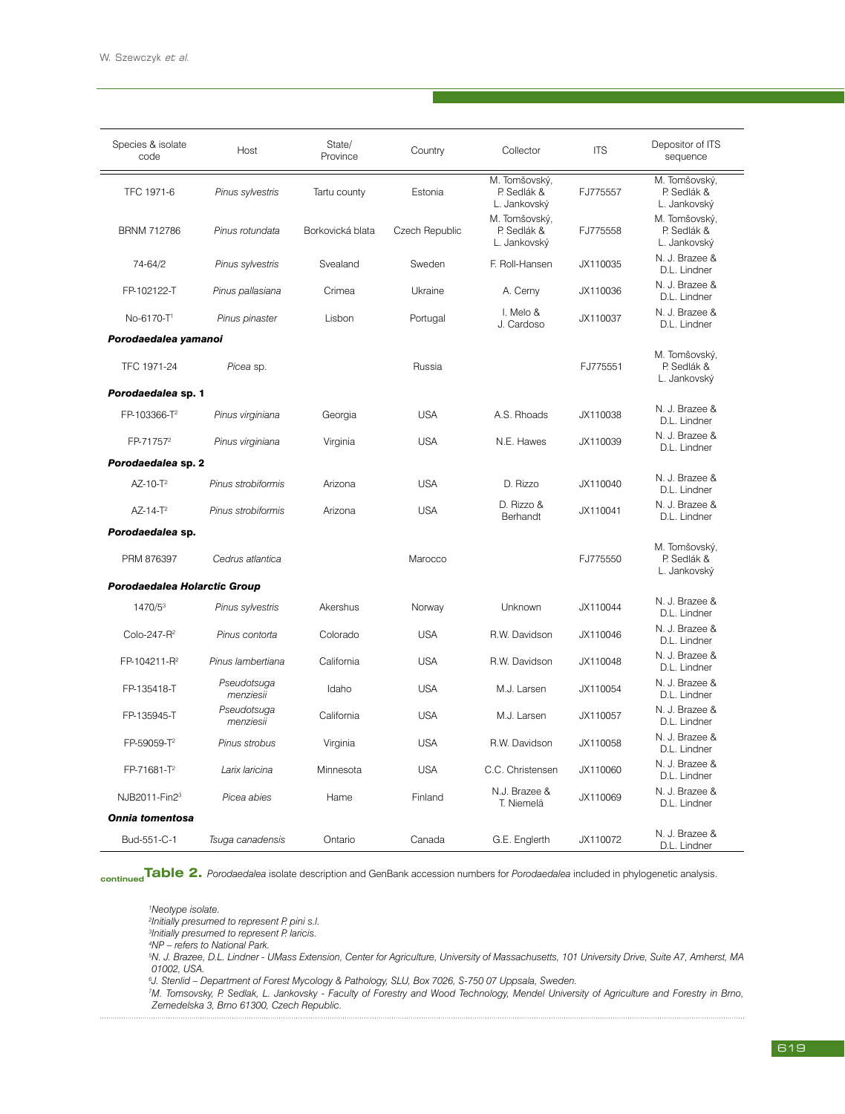| Species & isolate<br>code    | Host                     | State/<br>Province | Country        | Collector                                    | <b>ITS</b> | Depositor of ITS<br>sequence                 |
|------------------------------|--------------------------|--------------------|----------------|----------------------------------------------|------------|----------------------------------------------|
| TFC 1971-6                   | Pinus sylvestris         | Tartu county       | Estonia        | M. Tomšovský,<br>P. Sedlák &<br>L. Jankovský | FJ775557   | M. Tomšovský,<br>P. Sedlák &<br>L. Jankovský |
| <b>BRNM 712786</b>           | Pinus rotundata          | Borkovická blata   | Czech Republic | M. Tomšovský,<br>P. Sedlák &<br>L. Jankovský | FJ775558   | M. Tomšovský,<br>P. Sedlák &<br>L. Jankovský |
| 74-64/2                      | Pinus sylvestris         | Svealand           | Sweden         | F. Roll-Hansen                               | JX110035   | N. J. Brazee &<br>D.L. Lindner               |
| FP-102122-T                  | Pinus pallasiana         | Crimea             | Ukraine        | A. Cerny                                     | JX110036   | N. J. Brazee &<br>D.L. Lindner               |
| No-6170-T1                   | Pinus pinaster           | Lisbon             | Portugal       | I. Melo &<br>J. Cardoso                      | JX110037   | N. J. Brazee &<br>D.L. Lindner               |
| Porodaedalea yamanoi         |                          |                    |                |                                              |            |                                              |
| TFC 1971-24                  | Picea sp.                |                    | Russia         |                                              | FJ775551   | M. Tomšovský,<br>P. Sedlák &<br>L. Jankovský |
| Porodaedalea sp. 1           |                          |                    |                |                                              |            |                                              |
| FP-103366-T <sup>2</sup>     | Pinus virginiana         | Georgia            | <b>USA</b>     | A.S. Rhoads                                  | JX110038   | N. J. Brazee &<br>D.L. Lindner               |
| FP-71757 <sup>2</sup>        | Pinus virginiana         | Virginia           | <b>USA</b>     | N.E. Hawes                                   | JX110039   | N. J. Brazee &<br>D.L. Lindner               |
| Porodaedalea sp. 2           |                          |                    |                |                                              |            |                                              |
| AZ-10-T <sup>2</sup>         | Pinus strobiformis       | Arizona            | <b>USA</b>     | D. Rizzo                                     | JX110040   | N. J. Brazee &<br>D.L. Lindner               |
| $AZ-14-T^2$                  | Pinus strobiformis       | Arizona            | <b>USA</b>     | D. Rizzo &<br>Berhandt                       | JX110041   | N. J. Brazee &<br>D.L. Lindner               |
| Porodaedalea sp.             |                          |                    |                |                                              |            |                                              |
| PRM 876397                   | Cedrus atlantica         |                    | Marocco        |                                              | FJ775550   | M. Tomšovský,<br>P. Sedlák &<br>L. Jankovský |
| Porodaedalea Holarctic Group |                          |                    |                |                                              |            |                                              |
| 1470/53                      | Pinus sylvestris         | Akershus           | Norway         | Unknown                                      | JX110044   | N. J. Brazee &<br>D.L. Lindner               |
| Colo-247-R <sup>2</sup>      | Pinus contorta           | Colorado           | <b>USA</b>     | R.W. Davidson                                | JX110046   | N. J. Brazee &<br>D.L. Lindner               |
| FP-104211-R <sup>2</sup>     | Pinus lambertiana        | California         | <b>USA</b>     | R.W. Davidson                                | JX110048   | N. J. Brazee &<br>D.L. Lindner               |
| FP-135418-T                  | Pseudotsuga<br>menziesii | Idaho              | <b>USA</b>     | M.J. Larsen                                  | JX110054   | N. J. Brazee &<br>D.L. Lindner               |
| FP-135945-T                  | Pseudotsuga<br>menziesii | California         | <b>USA</b>     | M.J. Larsen                                  | JX110057   | N. J. Brazee &<br>D.L. Lindner               |
| FP-59059-T <sup>2</sup>      | Pinus strobus            | Virginia           | <b>USA</b>     | R.W. Davidson                                | JX110058   | N. J. Brazee &<br>D.L. Lindner               |
| FP-71681-T <sup>2</sup>      | Larix laricina           | Minnesota          | <b>USA</b>     | C.C. Christensen                             | JX110060   | N. J. Brazee &<br>D.L. Lindner               |
| NJB2011-Fin23                | Picea abies              | Hame               | Finland        | N.J. Brazee &<br>T. Niemelä                  | JX110069   | N. J. Brazee &<br>D.L. Lindner               |
| <b>Onnia tomentosa</b>       |                          |                    |                |                                              |            |                                              |
| Bud-551-C-1                  | Tsuga canadensis         | Ontario            | Canada         | G.E. Englerth                                | JX110072   | N. J. Brazee &<br>D.L. Lindner               |

**continuedTable 2.** *Porodaedalea* isolate description and GenBank accession numbers for *Porodaedalea* included in phylogenetic analysis.

*1 Neotype isolate. 2 Initially presumed to represent P. pini s.l. 3 Initially presumed to represent P. laricis. 4 NP – refers to National Park. 5 N. J. Brazee, D.L. Lindner - UMass Extension, Center for Agriculture, University of Massachusetts, 101 University Drive, Suite A7, Amherst, MA 01002, USA. 6 J. Stenlid – Department of Forest Mycology & Pathology, SLU, Box 7026, S-750 07 Uppsala, Sweden. 7 M. Tomsovsky, P. Sedlak, L. Jankovsky - Faculty of Forestry and Wood Technology, Mendel University of Agriculture and Forestry in Brno,* 

*Zemedelska 3, Brno 61300, Czech Republic.*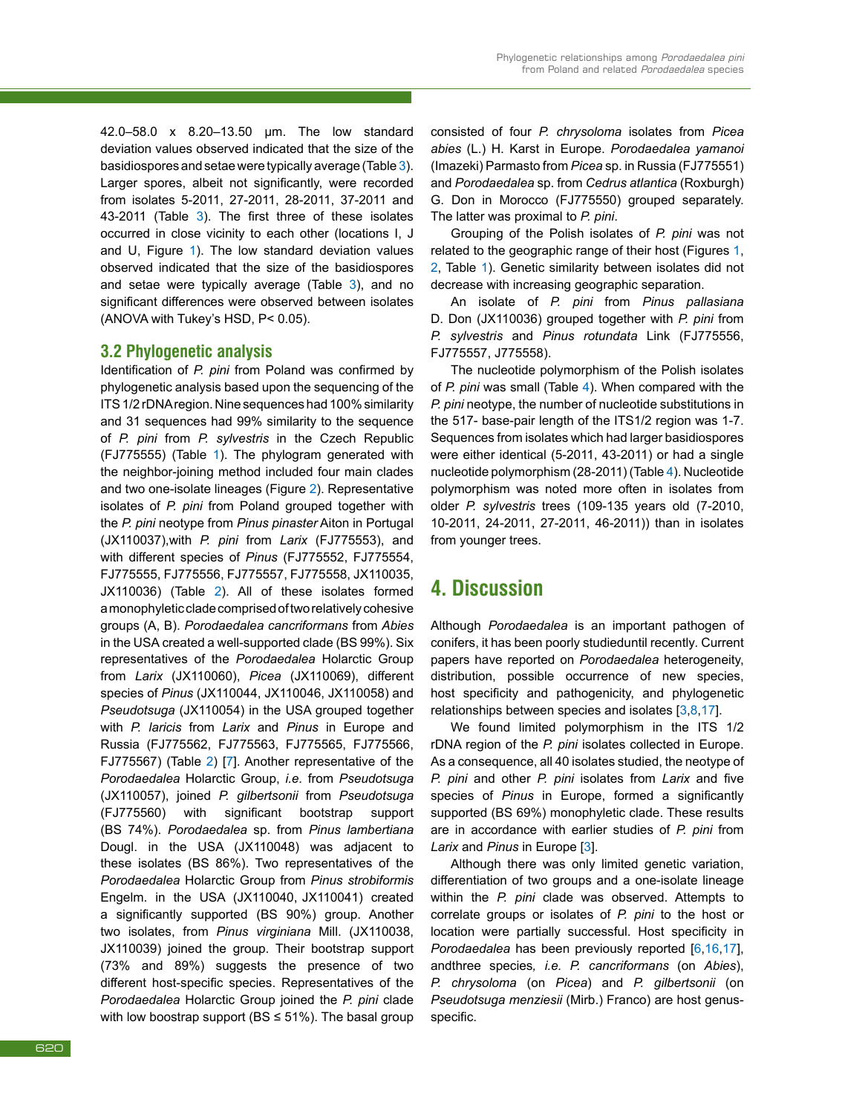42.0–58.0 x 8.20–13.50 μm. The low standard deviation values observed indicated that the size of the basidiospores and setae were typically average (Table [3](#page--1-23)). Larger spores, albeit not significantly, were recorded from isolates 5-2011, 27-2011, 28-2011, 37-2011 and 43-2011 (Table [3](#page--1-23)). The first three of these isolates occurred in close vicinity to each other (locations I, J and U, Figure [1](#page--1-14)). The low standard deviation values observed indicated that the size of the basidiospores and setae were typically average (Table [3](#page--1-23)), and no significant differences were observed between isolates (ANOVA with Tukey's HSD, P< 0.05).

### **3.2 Phylogenetic analysis**

Identification of *P. pini* from Poland was confirmed by phylogenetic analysis based upon the sequencing of the ITS 1/2 rDNA region. Nine sequences had 100% similarity and 31 sequences had 99% similarity to the sequence of *P. pini* from *P. sylvestris* in the Czech Republic (FJ775555) (Table [1](#page--1-15)). The phylogram generated with the neighbor-joining method included four main clades and two one-isolate lineages (Figure [2](#page--1-24)). Representative isolates of *P. pini* from Poland grouped together with the *P. pini* neotype from *Pinus pinaster* Aiton in Portugal (JX110037),with *P. pini* from *Larix* (FJ775553), and with different species of *Pinus* (FJ775552, FJ775554, FJ775555, FJ775556, FJ775557, FJ775558, JX110035, JX110036) (Table [2](#page--1-18)). All of these isolates formed a monophyletic clade comprised of two relatively cohesive groups (A, B). *Porodaedalea cancriformans* from *Abies* in the USA created a well-supported clade (BS 99%). Six representatives of the *Porodaedalea* Holarctic Group from *Larix* (JX110060), *Picea* (JX110069), different species of *Pinus* (JX110044, JX110046, JX110058) and *Pseudotsuga* (JX110054) in the USA grouped together with *P. laricis* from *Larix* and *Pinus* in Europe and Russia (FJ775562, FJ775563, FJ775565, FJ775566, FJ775567) (Table [2](#page--1-18)) [\[7](#page--1-3)]. Another representative of the *Porodaedalea* Holarctic Group, *i.e.* from *Pseudotsuga* (JX110057), joined *P. gilbertsonii* from *Pseudotsuga* (FJ775560) with significant bootstrap support (BS 74%). *Porodaedalea* sp. from *Pinus lambertiana* Dougl. in the USA (JX110048) was adjacent to these isolates (BS 86%). Two representatives of the *Porodaedalea* Holarctic Group from *Pinus strobiformis* Engelm. in the USA (JX110040, JX110041) created a significantly supported (BS 90%) group. Another two isolates, from *Pinus virginiana* Mill. (JX110038, JX110039) joined the group. Their bootstrap support (73% and 89%) suggests the presence of two different host-specific species. Representatives of the *Porodaedalea* Holarctic Group joined the *P. pini* clade with low boostrap support ( $BS \le 51\%$ ). The basal group

consisted of four *P. chrysoloma* isolates from *Picea abies* (L.) H. Karst in Europe. *Porodaedalea yamanoi*  (Imazeki) Parmasto from *Picea* sp. in Russia (FJ775551) and *Porodaedalea* sp. from *Cedrus atlantica* (Roxburgh) G. Don in Morocco (FJ775550) grouped separately. The latter was proximal to *P. pini*.

Grouping of the Polish isolates of *P. pini* was not related to the geographic range of their host (Figures [1](#page--1-14), [2](#page--1-24), Table [1](#page--1-15)). Genetic similarity between isolates did not decrease with increasing geographic separation.

An isolate of *P. pini* from *Pinus pallasiana*  D. Don (JX110036) grouped together with *P. pini* from *P. sylvestris* and *Pinus rotundata* Link (FJ775556, FJ775557, J775558).

The nucleotide polymorphism of the Polish isolates of *P. pini* was small (Table [4](#page--1-25)). When compared with the *P. pini* neotype, the number of nucleotide substitutions in the 517- base-pair length of the ITS1/2 region was 1-7. Sequences from isolates which had larger basidiospores were either identical (5-2011, 43-2011) or had a single nucleotide polymorphism (28-2011) (Table [4](#page--1-25)). Nucleotide polymorphism was noted more often in isolates from older *P. sylvestris* trees (109-135 years old (7-2010, 10-2011, 24-2011, 27-2011, 46-2011)) than in isolates from younger trees.

## **4. Discussion**

Although *Porodaedalea* is an important pathogen of conifers, it has been poorly studieduntil recently*.* Current papers have reported on *Porodaedalea* heterogeneity, distribution, possible occurrence of new species, host specificity and pathogenicity, and phylogenetic relationships between species and isolates [\[3](#page--1-10),[8](#page--1-4),[17](#page--1-13)].

We found limited polymorphism in the ITS 1/2 rDNA region of the *P. pini* isolates collected in Europe. As a consequence, all 40 isolates studied, the neotype of *P. pini* and other *P. pini* isolates from *Larix* and five species of *Pinus* in Europe, formed a significantly supported (BS 69%) monophyletic clade. These results are in accordance with earlier studies of *P. pini* from *Larix* and *Pinus* in Europe [[3\]](#page--1-10).

Although there was only limited genetic variation, differentiation of two groups and a one-isolate lineage within the *P. pini* clade was observed. Attempts to correlate groups or isolates of *P. pini* to the host or location were partially successful. Host specificity in *Porodaedalea* has been previously reported [\[6](#page--1-26),[16](#page--1-12),[17](#page--1-13)], andthree species*, i.e. P. cancriformans* (on *Abies*), *P. chrysoloma* (on *Picea*) and *P. gilbertsonii* (on *Pseudotsuga menziesii* (Mirb.) Franco) are host genusspecific.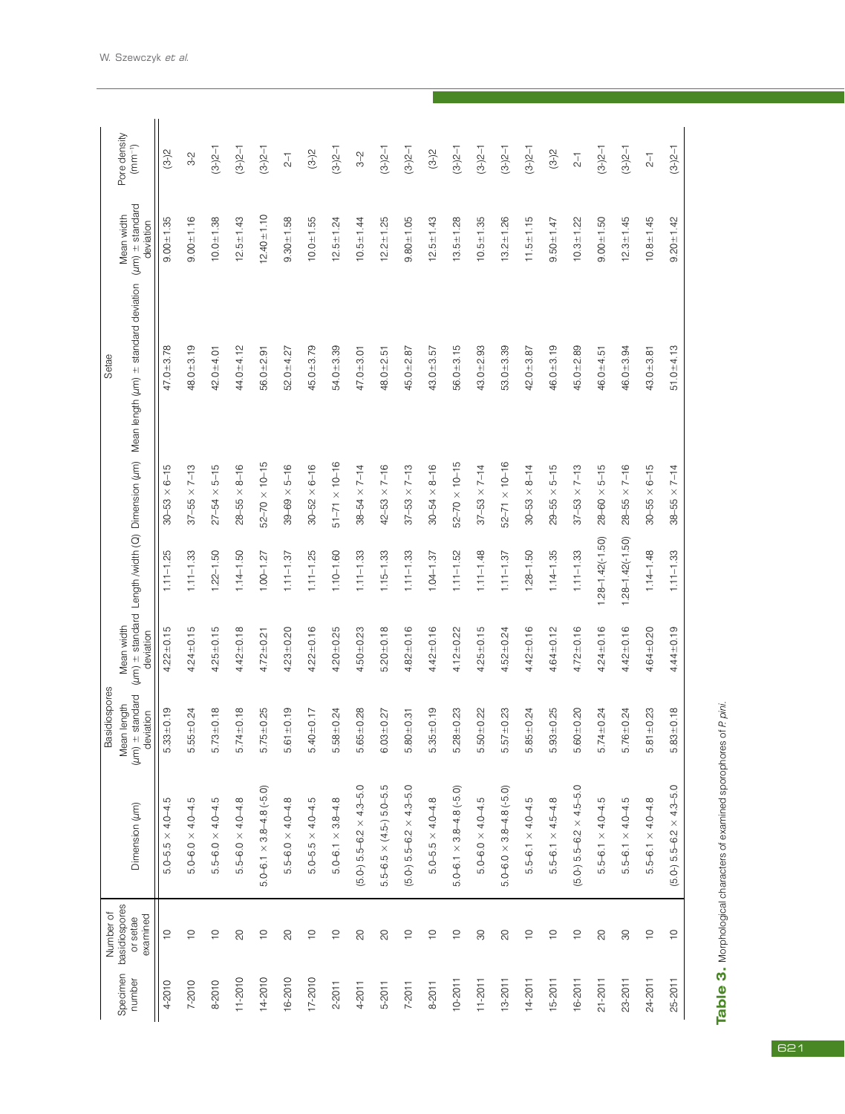| $1.28 - 1.42(-1.50)$<br>$1.28 - 1.42(-1.50)$<br>$1.14 - 1.48$<br>$1.11 - 1.25$<br>$1.11 - 1.33$<br>$1.22 - 1.50$<br>$1.14 - 1.50$<br>$1.11 - 1.25$<br>$1.10 - 1.60$<br>$1.15 - 1.33$<br>$1.11 - 1.48$<br>$1.28 - 1.50$<br>$1.14 - 1.35$<br>$1.11 - 1.33$<br>$1.00 - 1.27$<br>$1.11 - 1.37$<br>$1.11 - 1.33$<br>$1.11 - 1.33$<br>$1.11 - 1.52$<br>$1.04 - 1.37$<br>$1.11 - 1.37$<br>Mean width<br>$4.22 \pm 0.15$<br>$4.24 + 0.15$<br>$4.25 + 0.15$<br>$4.42 + 0.18$<br>$4.23 + 0.20$<br>$4.22 \pm 0.16$<br>$4.20 + 0.25$<br>$5.20 \pm 0.18$<br>$4.82 + 0.16$<br>$4.42 + 0.16$<br>$4.25 + 0.15$<br>$4.42 + 0.16$<br>$4.72 \pm 0.16$<br>$4.24 + 0.16$<br>$4.42 + 0.16$<br>$4.50 + 0.23$<br>$4.12 \pm 0.22$<br>$4.64 + 0.12$<br>$4.64 + 0.20$<br>$4.52 \pm 0.24$<br>$4.72 \pm 0.21$<br>deviation<br>$±$ standard<br>Mean length<br>$.33 + 0.19$<br>$.55 \pm 0.24$<br>$5.73 + 0.18$<br>$.74 + 0.18$<br>$5.75 \pm 0.25$<br>$61 \pm 0.19$<br>$.65 \pm 0.28$<br>$.35 \pm 0.19$<br>$.28 + 0.23$<br>$50 + 0.22$<br>$57 + 0.23$<br>$.85 \pm 0.24$<br>$.93 + 0.25$<br>$60 + 0.20$<br>$5.76 + 0.24$<br>$81 + 0.23$<br>$5.40 \pm 0.17$<br>$58 + 0.24$<br>$03 + 0.27$<br>$.74 \pm 0.24$<br>deviation<br>$.80 \pm 0.31$<br>$(\mu m)$<br>Ю<br>Ю<br>Ю<br>ഥ<br>Ю<br>Ю<br>O<br>Ю<br>Ю<br>Ю<br>Ю<br>Ю<br>Ю<br>Ю<br>Ю<br>ഥ<br>ഥ<br>$(5.0-) 5.5-6.2 \times 4.3-5.0$<br>rö.<br>$(5.0-) 5.5 - 6.2 \times 4.3 - 5.0$<br>$(5.0-) 5.5-6.2 \times 4.5-5.0$<br>$5.0 - 6.1 \times 3.8 - 4.8$ (-5.0)<br>$5.0 - 6.1 \times 3.8 - 4.8$ (-5.0)<br>$5.0 - 6.0 \times 3.8 - 4.8$ (-5.0)<br>$5.5 - 6.5 \times (4.5 - 5.0 - 5.0)$<br>$5.5 - 6.0 \times 4.0 - 4.5$<br>$5.5 - 6.0 \times 4.0 - 4.8$<br>$5.5 - 6.0 \times 4.0 - 4.8$<br>$5.0 - 5.5 \times 4.0 - 4.5$<br>œ<br>$5.0 - 5.5 \times 4.0 - 4.8$<br>$5.0 - 6.0 \times 4.0 - 4.5$<br>$5.5 - 6.1 \times 4.0 - 4.5$<br>$5.5 - 6.1 \times 4.5 - 4.8$<br>$5.5 - 6.1 \times 4.0 - 4.5$<br>$5.5 - 6.1 \times 4.0 - 4.8$<br>ю<br>$5.0 - 6.0 \times 4.0 - 4.5$<br>$5.5 - 6.1 \times 4.0 - 4.5$<br>Dimension (um)<br>$5.0 - 5.5 \times 4.0 - 4.$<br>$5.0 - 6.1 \times 3.8 - 4.$<br>basidiospores<br>examined<br>or setae<br>$\infty$<br>$\frac{1}{2}$<br>$\infty$<br>$\frac{1}{2}$<br>$\infty$<br>$\infty$<br>$\infty$<br>$\supseteq$<br>$\overline{C}$<br>$\infty$<br>$\frac{1}{2}$<br>$\overline{C}$<br>$\supseteq$<br>$\widetilde{C}$<br>$\supseteq$<br>$\overline{C}$<br>$\frac{1}{2}$<br>8<br>$\frac{1}{2}$<br>$\infty$<br>$\frac{1}{2}$<br>Specimen<br>$11 - 2010$<br>14-2010<br>16-2010<br>17-2010<br>number<br>8-2010<br>$10 - 2011$<br>$11 - 2011$<br>$13 - 2011$<br>14-2011<br>15-2011<br>16-2011<br>21-2011<br>23-2011<br>24-2011<br>7-2010<br>4-2010<br>$2 - 2011$<br>4-2011<br>8-2011<br>5-2011<br>$7 - 2011$ |         | Number of   |                                     | Basidiospores       |               |               |                              | Setae                                                                                  |                                                     |                             |
|----------------------------------------------------------------------------------------------------------------------------------------------------------------------------------------------------------------------------------------------------------------------------------------------------------------------------------------------------------------------------------------------------------------------------------------------------------------------------------------------------------------------------------------------------------------------------------------------------------------------------------------------------------------------------------------------------------------------------------------------------------------------------------------------------------------------------------------------------------------------------------------------------------------------------------------------------------------------------------------------------------------------------------------------------------------------------------------------------------------------------------------------------------------------------------------------------------------------------------------------------------------------------------------------------------------------------------------------------------------------------------------------------------------------------------------------------------------------------------------------------------------------------------------------------------------------------------------------------------------------------------------------------------------------------------------------------------------------------------------------------------------------------------------------------------------------------------------------------------------------------------------------------------------------------------------------------------------------------------------------------------------------------------------------------------------------------------------------------------------------------------------------------------------------------------------------------------------------------------------------------------------------------------------------------------------------------------------------------------------------------------------------------------------------------------------------------------------------------------------------------------------------------------------------------------------------------------------------------------------------------------------------------------------------------------------------------------------------------------|---------|-------------|-------------------------------------|---------------------|---------------|---------------|------------------------------|----------------------------------------------------------------------------------------|-----------------------------------------------------|-----------------------------|
|                                                                                                                                                                                                                                                                                                                                                                                                                                                                                                                                                                                                                                                                                                                                                                                                                                                                                                                                                                                                                                                                                                                                                                                                                                                                                                                                                                                                                                                                                                                                                                                                                                                                                                                                                                                                                                                                                                                                                                                                                                                                                                                                                                                                                                                                                                                                                                                                                                                                                                                                                                                                                                                                                                                                  |         |             |                                     |                     |               |               |                              | (um) ± standard Length /width (Q) Dimension (um) Mean length (um) ± standard deviation | $(\mu m)$ $\pm$ standard<br>Mean width<br>deviation | Pore density<br>$(mm^{-1})$ |
|                                                                                                                                                                                                                                                                                                                                                                                                                                                                                                                                                                                                                                                                                                                                                                                                                                                                                                                                                                                                                                                                                                                                                                                                                                                                                                                                                                                                                                                                                                                                                                                                                                                                                                                                                                                                                                                                                                                                                                                                                                                                                                                                                                                                                                                                                                                                                                                                                                                                                                                                                                                                                                                                                                                                  |         |             |                                     |                     |               |               | $6 - 15$<br>$30 - 53 \times$ | $47.0 + 3.78$                                                                          | $9.00 + 1.35$                                       | $(3-2)$                     |
|                                                                                                                                                                                                                                                                                                                                                                                                                                                                                                                                                                                                                                                                                                                                                                                                                                                                                                                                                                                                                                                                                                                                                                                                                                                                                                                                                                                                                                                                                                                                                                                                                                                                                                                                                                                                                                                                                                                                                                                                                                                                                                                                                                                                                                                                                                                                                                                                                                                                                                                                                                                                                                                                                                                                  |         |             |                                     |                     |               |               | $37 - 55 \times 7 - 13$      | $48.0 + 3.19$                                                                          | $9.00 + 1.16$                                       | $3-2$                       |
|                                                                                                                                                                                                                                                                                                                                                                                                                                                                                                                                                                                                                                                                                                                                                                                                                                                                                                                                                                                                                                                                                                                                                                                                                                                                                                                                                                                                                                                                                                                                                                                                                                                                                                                                                                                                                                                                                                                                                                                                                                                                                                                                                                                                                                                                                                                                                                                                                                                                                                                                                                                                                                                                                                                                  |         |             |                                     |                     |               |               | $27 - 54 \times 5 - 15$      | $42.0 + 4.01$                                                                          | $10.0 + 1.38$                                       | $(3-2)2-1$                  |
|                                                                                                                                                                                                                                                                                                                                                                                                                                                                                                                                                                                                                                                                                                                                                                                                                                                                                                                                                                                                                                                                                                                                                                                                                                                                                                                                                                                                                                                                                                                                                                                                                                                                                                                                                                                                                                                                                                                                                                                                                                                                                                                                                                                                                                                                                                                                                                                                                                                                                                                                                                                                                                                                                                                                  |         |             |                                     |                     |               |               | $28 - 55 \times 8 - 16$      | 44.0±4.12                                                                              | $12.5 + 1.43$                                       | $(3-2)2-1$                  |
|                                                                                                                                                                                                                                                                                                                                                                                                                                                                                                                                                                                                                                                                                                                                                                                                                                                                                                                                                                                                                                                                                                                                                                                                                                                                                                                                                                                                                                                                                                                                                                                                                                                                                                                                                                                                                                                                                                                                                                                                                                                                                                                                                                                                                                                                                                                                                                                                                                                                                                                                                                                                                                                                                                                                  |         |             |                                     |                     |               |               | $52 - 70 \times 10 - 15$     | $56.0 + 2.91$                                                                          | $12.40 \pm 1.10$                                    | $(-5-2)$                    |
|                                                                                                                                                                                                                                                                                                                                                                                                                                                                                                                                                                                                                                                                                                                                                                                                                                                                                                                                                                                                                                                                                                                                                                                                                                                                                                                                                                                                                                                                                                                                                                                                                                                                                                                                                                                                                                                                                                                                                                                                                                                                                                                                                                                                                                                                                                                                                                                                                                                                                                                                                                                                                                                                                                                                  |         |             |                                     |                     |               |               | $39 - 69 \times 5 - 16$      | $52.0 + 4.27$                                                                          | $9.30 + 1.58$                                       | $\overline{2}$ -1           |
|                                                                                                                                                                                                                                                                                                                                                                                                                                                                                                                                                                                                                                                                                                                                                                                                                                                                                                                                                                                                                                                                                                                                                                                                                                                                                                                                                                                                                                                                                                                                                                                                                                                                                                                                                                                                                                                                                                                                                                                                                                                                                                                                                                                                                                                                                                                                                                                                                                                                                                                                                                                                                                                                                                                                  |         |             |                                     |                     |               |               | $30 - 52 \times 6 - 16$      | $45.0 + 3.79$                                                                          | $10.0 + 1.55$                                       | $(3-2)$                     |
|                                                                                                                                                                                                                                                                                                                                                                                                                                                                                                                                                                                                                                                                                                                                                                                                                                                                                                                                                                                                                                                                                                                                                                                                                                                                                                                                                                                                                                                                                                                                                                                                                                                                                                                                                                                                                                                                                                                                                                                                                                                                                                                                                                                                                                                                                                                                                                                                                                                                                                                                                                                                                                                                                                                                  |         |             |                                     |                     |               |               | $51 - 71 \times 10 - 16$     | 54.0±3.39                                                                              | $12.5 \pm 1.24$                                     | $(-2,-3)$                   |
|                                                                                                                                                                                                                                                                                                                                                                                                                                                                                                                                                                                                                                                                                                                                                                                                                                                                                                                                                                                                                                                                                                                                                                                                                                                                                                                                                                                                                                                                                                                                                                                                                                                                                                                                                                                                                                                                                                                                                                                                                                                                                                                                                                                                                                                                                                                                                                                                                                                                                                                                                                                                                                                                                                                                  |         |             |                                     |                     |               |               | $38 - 54 \times 7 - 14$      | $47.0 + 3.01$                                                                          | $10.5 + 1.44$                                       | $3-2$                       |
|                                                                                                                                                                                                                                                                                                                                                                                                                                                                                                                                                                                                                                                                                                                                                                                                                                                                                                                                                                                                                                                                                                                                                                                                                                                                                                                                                                                                                                                                                                                                                                                                                                                                                                                                                                                                                                                                                                                                                                                                                                                                                                                                                                                                                                                                                                                                                                                                                                                                                                                                                                                                                                                                                                                                  |         |             |                                     |                     |               |               | $42 - 53 \times 7 - 16$      | $48.0 + 2.5$                                                                           | $12.2 \pm 1.25$                                     | $(-2(-8)$                   |
|                                                                                                                                                                                                                                                                                                                                                                                                                                                                                                                                                                                                                                                                                                                                                                                                                                                                                                                                                                                                                                                                                                                                                                                                                                                                                                                                                                                                                                                                                                                                                                                                                                                                                                                                                                                                                                                                                                                                                                                                                                                                                                                                                                                                                                                                                                                                                                                                                                                                                                                                                                                                                                                                                                                                  |         |             |                                     |                     |               |               | $37 - 53 \times 7 - 13$      | $45.0 + 2.87$                                                                          | $9.80 + 1.05$                                       | $(-2(-8)$                   |
|                                                                                                                                                                                                                                                                                                                                                                                                                                                                                                                                                                                                                                                                                                                                                                                                                                                                                                                                                                                                                                                                                                                                                                                                                                                                                                                                                                                                                                                                                                                                                                                                                                                                                                                                                                                                                                                                                                                                                                                                                                                                                                                                                                                                                                                                                                                                                                                                                                                                                                                                                                                                                                                                                                                                  |         |             |                                     |                     |               |               | $30 - 54 \times 8 - 16$      | $43.0 + 3.57$                                                                          | $12.5 \pm 1.43$                                     | $(3-2)$                     |
|                                                                                                                                                                                                                                                                                                                                                                                                                                                                                                                                                                                                                                                                                                                                                                                                                                                                                                                                                                                                                                                                                                                                                                                                                                                                                                                                                                                                                                                                                                                                                                                                                                                                                                                                                                                                                                                                                                                                                                                                                                                                                                                                                                                                                                                                                                                                                                                                                                                                                                                                                                                                                                                                                                                                  |         |             |                                     |                     |               |               | $52 - 70 \times 10 - 15$     | $56.0 + 3.15$                                                                          | $13.5 \pm 1.28$                                     | $(-5-2)$                    |
|                                                                                                                                                                                                                                                                                                                                                                                                                                                                                                                                                                                                                                                                                                                                                                                                                                                                                                                                                                                                                                                                                                                                                                                                                                                                                                                                                                                                                                                                                                                                                                                                                                                                                                                                                                                                                                                                                                                                                                                                                                                                                                                                                                                                                                                                                                                                                                                                                                                                                                                                                                                                                                                                                                                                  |         |             |                                     |                     |               |               | $37 - 53 \times 7 - 14$      | $43.0 + 2.93$                                                                          | $10.5 + 1.35$                                       | $(-2(-8)$                   |
|                                                                                                                                                                                                                                                                                                                                                                                                                                                                                                                                                                                                                                                                                                                                                                                                                                                                                                                                                                                                                                                                                                                                                                                                                                                                                                                                                                                                                                                                                                                                                                                                                                                                                                                                                                                                                                                                                                                                                                                                                                                                                                                                                                                                                                                                                                                                                                                                                                                                                                                                                                                                                                                                                                                                  |         |             |                                     |                     |               |               | $52 - 71 \times 10 - 16$     | $53.0 + 3.39$                                                                          | $13.2 \pm 1.26$                                     | $(-2,-3)$                   |
|                                                                                                                                                                                                                                                                                                                                                                                                                                                                                                                                                                                                                                                                                                                                                                                                                                                                                                                                                                                                                                                                                                                                                                                                                                                                                                                                                                                                                                                                                                                                                                                                                                                                                                                                                                                                                                                                                                                                                                                                                                                                                                                                                                                                                                                                                                                                                                                                                                                                                                                                                                                                                                                                                                                                  |         |             |                                     |                     |               |               | $30 - 53 \times 8 - 14$      | $42.0 + 3.87$                                                                          | $11.5 + 1.15$                                       | $(-2(-8)$                   |
|                                                                                                                                                                                                                                                                                                                                                                                                                                                                                                                                                                                                                                                                                                                                                                                                                                                                                                                                                                                                                                                                                                                                                                                                                                                                                                                                                                                                                                                                                                                                                                                                                                                                                                                                                                                                                                                                                                                                                                                                                                                                                                                                                                                                                                                                                                                                                                                                                                                                                                                                                                                                                                                                                                                                  |         |             |                                     |                     |               |               | $5 - 15$<br>$29 - 55 \times$ | $46.0 + 3.19$                                                                          | $9.50 + 1.47$                                       | $(3-2)$                     |
|                                                                                                                                                                                                                                                                                                                                                                                                                                                                                                                                                                                                                                                                                                                                                                                                                                                                                                                                                                                                                                                                                                                                                                                                                                                                                                                                                                                                                                                                                                                                                                                                                                                                                                                                                                                                                                                                                                                                                                                                                                                                                                                                                                                                                                                                                                                                                                                                                                                                                                                                                                                                                                                                                                                                  |         |             |                                     |                     |               |               | $37 - 53 \times 7 - 13$      | $45.0 + 2.89$                                                                          | $10.3 + 1.22$                                       | $\overline{c}$              |
|                                                                                                                                                                                                                                                                                                                                                                                                                                                                                                                                                                                                                                                                                                                                                                                                                                                                                                                                                                                                                                                                                                                                                                                                                                                                                                                                                                                                                                                                                                                                                                                                                                                                                                                                                                                                                                                                                                                                                                                                                                                                                                                                                                                                                                                                                                                                                                                                                                                                                                                                                                                                                                                                                                                                  |         |             |                                     |                     |               |               | $5 - 15$<br>$28 - 60 \times$ | $46.0 + 4.51$                                                                          | $9.00 + 1.50$                                       | $(-2(-8)$                   |
|                                                                                                                                                                                                                                                                                                                                                                                                                                                                                                                                                                                                                                                                                                                                                                                                                                                                                                                                                                                                                                                                                                                                                                                                                                                                                                                                                                                                                                                                                                                                                                                                                                                                                                                                                                                                                                                                                                                                                                                                                                                                                                                                                                                                                                                                                                                                                                                                                                                                                                                                                                                                                                                                                                                                  |         |             |                                     |                     |               |               | $28 - 55 \times 7 - 16$      | $46.0 + 3.94$                                                                          | $12.3 \pm 1.45$                                     | $(3-2)2-1$                  |
|                                                                                                                                                                                                                                                                                                                                                                                                                                                                                                                                                                                                                                                                                                                                                                                                                                                                                                                                                                                                                                                                                                                                                                                                                                                                                                                                                                                                                                                                                                                                                                                                                                                                                                                                                                                                                                                                                                                                                                                                                                                                                                                                                                                                                                                                                                                                                                                                                                                                                                                                                                                                                                                                                                                                  |         |             |                                     |                     |               |               | $30 - 55 \times 6 - 15$      | $43.0 + 3.81$                                                                          | $10.8 + 1.45$                                       | $\overline{c}$              |
|                                                                                                                                                                                                                                                                                                                                                                                                                                                                                                                                                                                                                                                                                                                                                                                                                                                                                                                                                                                                                                                                                                                                                                                                                                                                                                                                                                                                                                                                                                                                                                                                                                                                                                                                                                                                                                                                                                                                                                                                                                                                                                                                                                                                                                                                                                                                                                                                                                                                                                                                                                                                                                                                                                                                  | 25-2011 | $\supseteq$ | $(5.0 - 5.5 - 6.2 \times 4.3 - 5.0$ | $.83 \pm 0.18$<br>ഥ | $4.44 + 0.19$ | $1.11 - 1.33$ | $38 - 55 \times 7 - 14$      | $51.0 + 4.13$                                                                          | $9.20 \pm 1.42$                                     | $(3-2)2-1$                  |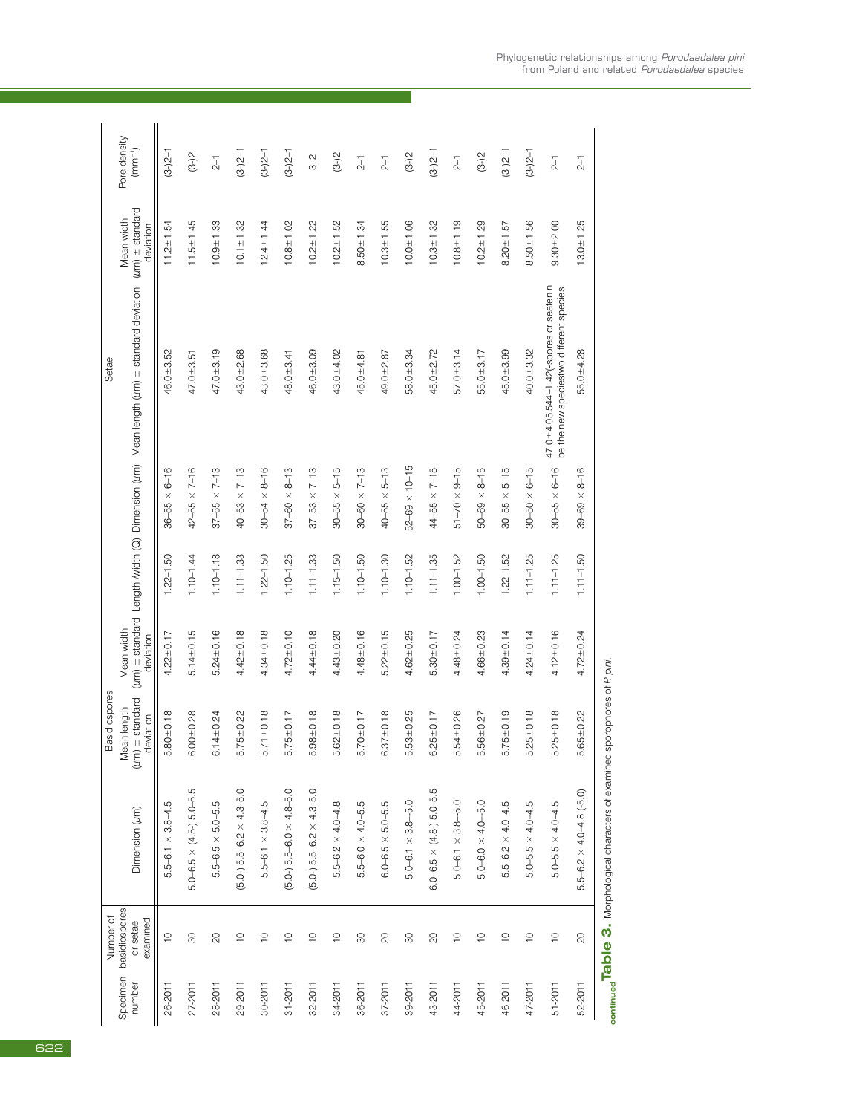|                    |                                                    |                                        | Basidiospores                           |                 |               |                          | Setae                                                                                                  |                 |                             |
|--------------------|----------------------------------------------------|----------------------------------------|-----------------------------------------|-----------------|---------------|--------------------------|--------------------------------------------------------------------------------------------------------|-----------------|-----------------------------|
| Specimen<br>number | basidiospores<br>Number of<br>examined<br>or setae | Dimension (um)                         | $(\mu m)$ $\pm$ standard<br>Mean length | Mean width      |               |                          | (um) ± standard Length /width (Q) Dimension (um) Mean length (um) ± standard deviation (um) ± standard | Mean width      | Pore density<br>$(mm^{-1})$ |
|                    |                                                    |                                        | deviation                               | deviation       |               |                          |                                                                                                        | deviation       |                             |
| 26-2011            | $\overline{C}$                                     | $5.5 - 6.1 \times 3.8 - 4.5$           | $5.80 + 0.18$                           | $4.22 + 0.17$   | $1.22 - 1.50$ | $36 - 55 \times 6 - 16$  | $46.0 + 3.52$                                                                                          | $11.2 + 1.54$   | $(3-2-1)$                   |
| $27 - 2011$        | 80                                                 | $5.0 - 6.5 \times (4.5 - 5.0 - 5.5)$   | $6.00 + 0.28$                           | $5.14 + 0.15$   | $1.10 - 1.44$ | $42 - 55 \times 7 - 16$  | $47.0 + 3.51$                                                                                          | $11.5 + 1.45$   | $(3-2)$                     |
| 28-2011            | $\overline{6}$                                     | $5.5 - 6.5 \times 5.0 - 5.5$           | $6.14 \pm 0.24$                         | $5.24 + 0.16$   | $1.10 - 1.18$ | $37 - 55 \times 7 - 13$  | $47.0 + 3.19$                                                                                          | $10.9 + 1.33$   | $\overline{c}$              |
| 29-2011            | $\overline{C}$                                     | $(5.0-) 5.5 - 6.2 \times 4.3 - 5.0$    | $5.75 \pm 0.22$                         | $4.42 + 0.18$   | $1.11 - 1.33$ | $40 - 53 \times 7 - 13$  | $43.0 + 2.68$                                                                                          | $10.1 + 1.32$   | $(3-2-1)$                   |
| $30 - 2011$        | $\overline{C}$                                     | $5.5 - 6.1 \times 3.8 - 4.5$           | $5.71 \pm 0.18$                         | $4.34 + 0.18$   | $1.22 - 1.50$ | $30 - 54 \times 8 - 16$  | $43.0 + 3.68$                                                                                          | $12.4 \pm 1.44$ | $(3-2)2-1$                  |
| $31 - 2011$        | $\widetilde{C}$                                    | $(5.0-) 5.5-6.0 \times 4.8-5.0$        | $5.75 \pm 0.17$                         | $4.72 + 0.10$   | $1.10 - 1.25$ | $37 - 60 \times 8 - 13$  | $48.0 + 3.41$                                                                                          | $10.8 + 1.02$   | $(3-2)2-1$                  |
| 32-2011            | $\frac{1}{2}$                                      | $(5.0)$ 5.5-6.2 $\times$ 4.3-5.0       | $5.98 + 0.18$                           | $4.44 + 0.18$   | $1.11 - 1.33$ | $37 - 53 \times 7 - 13$  | $46.0 + 3.09$                                                                                          | $10.2 + 1.22$   | $3-2$                       |
| 34-2011            | $\overline{C}$                                     | $5.5 - 6.2 \times 4.0 - 4.8$           | $5.62 \pm 0.18$                         | $4.43 + 0.20$   | $1.15 - 1.50$ | $30 - 55 \times 5 - 15$  | $43.0 + 4.02$                                                                                          | $10.2 + 1.52$   | $(3-2)$                     |
| 36-2011            | $\infty$                                           | $5.5 - 6.0 \times 4.0 - 5.5$           | $5.70 + 0.17$                           | $4.48 + 0.16$   | $1.10 - 1.50$ | $30 - 60 \times 7 - 13$  | $45.0 + 4.81$                                                                                          | $8.50 + 1.34$   | $\overline{c}$ -1           |
| $37 - 2011$        | $\infty$                                           | $6.0 - 6.5 \times 5.0 - 5.5$           | $6.37 \pm 0.18$                         | $5.22 \pm 0.15$ | $1.10 - 1.30$ | $40 - 55 \times 5 - 13$  | $49.0 + 2.87$                                                                                          | $10.3 + 1.55$   | $\overline{c}$              |
| 39-2011            | $\infty$                                           | $5.0 - 6.1 \times 3.8 - 5.0$           | $5.53 + 0.25$                           | $4.62 + 0.25$   | $1.10 - 1.52$ | $52 - 69 \times 10 - 15$ | $58.0 + 3.34$                                                                                          | $10.0 + 1.06$   | $(3-2)$                     |
| 43-2011            | $\infty$                                           | $6.0 - 6.5 \times (4.8 - 5.0 - 5.5$    | $6.25 \pm 0.17$                         | $5.30 \pm 0.17$ | $1.11 - 1.35$ | $44 - 55 \times 7 - 15$  | $45.0 + 2.72$                                                                                          | $10.3 + 1.32$   | $(3-2-1)$                   |
| 44-2011            | $\supseteq$                                        | $\circ$<br>$5.0 - 6.1 \times 3.8 - 5.$ | $5.54 + 0.26$                           | $4.48 + 0.24$   | $1.00 - 1.52$ | $51 - 70 \times 9 - 15$  | $57.0 + 3.14$                                                                                          | $10.8 + 1.19$   | $\overline{c}$              |
| 45-2011            | $\overline{C}$                                     | $5.0 - 6.0 \times 4.0 - 5.0$           | $5.56 \pm 0.27$                         | $4.66 + 0.23$   | $1.00 - 1.50$ | $50 - 69 \times 8 - 15$  | $55.0 + 3.17$                                                                                          | $10.2 + 1.29$   | $(3-2)$                     |
| 46-2011            | $\frac{1}{2}$                                      | $5.5 - 6.2 \times 4.0 - 4.5$           | $5.75 \pm 0.19$                         | $4.39 + 0.14$   | $1.22 - 1.52$ | $30 - 55 \times 5 - 15$  | $45.0 + 3.99$                                                                                          | $8.20 \pm 1.57$ | $(3-2)2-1$                  |
| 47-2011            | $\overline{C}$                                     | $5.0 - 5.5 \times 4.0 - 4.5$           | $5.25 \pm 0.18$                         | $4.24 + 0.14$   | $1.11 - 1.25$ | $30 - 50 \times 6 - 15$  | $40.0 + 3.32$                                                                                          | $8.50 + 1.56$   | $(3-2)2-1$                  |
| $51 - 2011$        | $\frac{1}{2}$                                      | $5.0 - 5.5 \times 4.0 - 4.5$           | $5.25 \pm 0.18$                         | $4.12 + 0.16$   | $1.11 - 1.25$ | $30 - 55 \times 6 - 16$  | $47.0 + 4.05.544 - 1.42(-$ spores or seaten n<br>be the new speciestwo different species.              | $9.30 + 2.00$   | $\overline{c}$              |
| 52-2011            | $\overline{6}$                                     | $5.5 - 6.2 \times 4.0 - 4.8$ (-5.0)    | $5.65 \pm 0.22$                         | $4.72 + 0.24$   | $1.11 - 1.50$ | $39 - 69 \times 8 - 16$  | $55.0 + 4.28$                                                                                          | $13.0 + 1.25$   | $\overline{c}$              |
|                    |                                                    |                                        |                                         |                 |               |                          |                                                                                                        |                 |                             |

continued Table 3. Morphological characters of examined sporophores of P.pini. **continuedTable 3.** Morphological characters of examined sporophores of *P. pini.*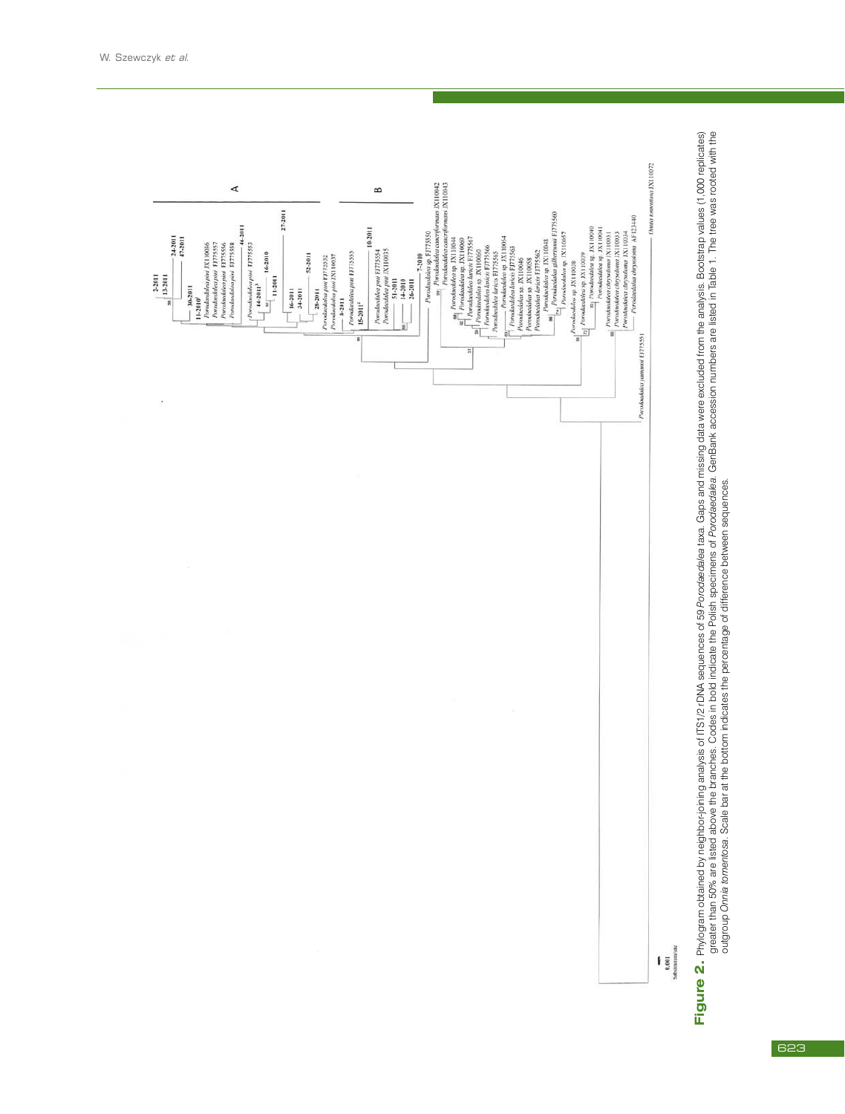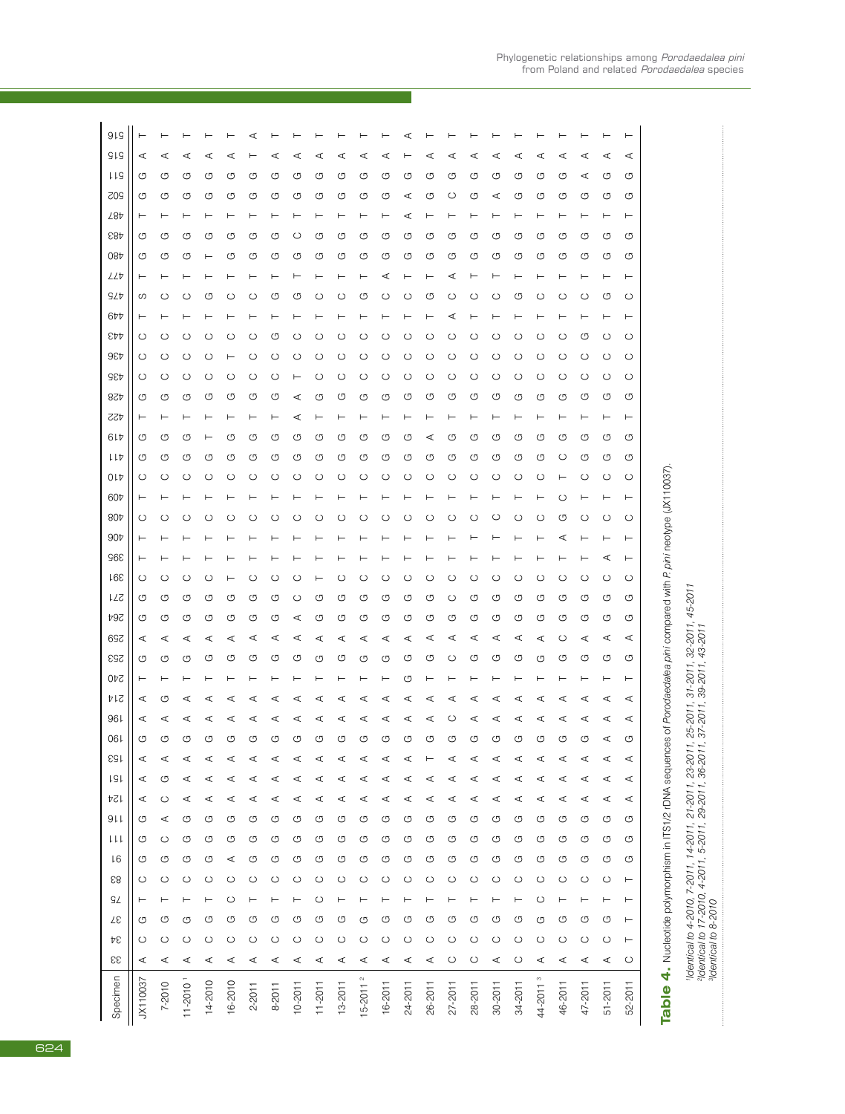| 919             |          |                |              |              |              |              |              |              |              |             |              |         |              |              |              |              |              |         |                      |              |              |              | ⊢        |                                                                                                                  |                                                                                                                                                                      |
|-----------------|----------|----------------|--------------|--------------|--------------|--------------|--------------|--------------|--------------|-------------|--------------|---------|--------------|--------------|--------------|--------------|--------------|---------|----------------------|--------------|--------------|--------------|----------|------------------------------------------------------------------------------------------------------------------|----------------------------------------------------------------------------------------------------------------------------------------------------------------------|
| <b>SIS</b>      | ∢        |                | ₫            |              |              |              |              |              | ₫            | ⋖           |              | ₫       |              |              | ₫            | ₫            |              | ₫       | ₫                    | ⋖            | ⋖            | ⋖            | ⋖        |                                                                                                                  |                                                                                                                                                                      |
| t ta            | ৩        | ৩              | ৩            | ஶ            | ஶ            | ৩            | ஶ            | ৩            | G            | G           | ৩            | ஶ       | G            | ৩            | ஶ            | ஶ            | ৩            | ஶ       | ஶ                    | ৩            | ⋖            | G            | U        |                                                                                                                  |                                                                                                                                                                      |
| 505             | ৩        | ஶ              | ஶ            | ஶ            | ஶ            | ஶ            | ஶ            | ஶ            | ஶ            | ஶ           | ஶ            | ஶ       | ⋖            | ஶ            | ပ            | ஶ            | ⋖            | ஶ       | ஶ                    | U            | ஶ            | G            | O        |                                                                                                                  |                                                                                                                                                                      |
| 28t             |          |                |              |              |              |              |              |              |              |             |              |         | ∢            |              |              |              |              |         |                      |              |              |              | ⊢        |                                                                                                                  |                                                                                                                                                                      |
| <b>887</b>      | ৩        | ৩              | ৩            | ஶ            | ஶ            | ↺            | ஶ            | O            | ↺            | ৩           | ஶ            | ৩       | ↺            | ஶ            | ৩            | ৩            | ↺            | ৩       | ৩                    | ৩            | O            | O            | G        |                                                                                                                  |                                                                                                                                                                      |
| 084             | G        | O              | ஶ            | ۳            | ৩            | ৩            | ஶ            | ஶ            | O            | ஶ           | ஶ            | ஶ       | ஶ            | ஶ            | ৩            | ஶ            | ஶ            | ৩       | ஶ                    | O            | U            | G            | O        |                                                                                                                  |                                                                                                                                                                      |
| LL              |          |                |              |              |              |              |              |              |              |             |              | ⋖       |              |              | ⋖            |              |              |         |                      |              |              |              | ⊢        |                                                                                                                  |                                                                                                                                                                      |
| <b>SLP</b>      | ပာ       | O              | O            | ↺            | O            | C            | ٢٦)          | O            | C            | C           | ஶ            | C       | O            | ஶ            | O            | С            | O            | ৩       | C                    | O            | O            | ஶ            | O        |                                                                                                                  |                                                                                                                                                                      |
| 6 <sub>7</sub>  |          |                |              |              |              |              |              |              |              |             |              |         |              |              | ⋖            |              |              |         |                      |              |              |              | ⊢        |                                                                                                                  |                                                                                                                                                                      |
| EÞÞ             | $\circ$  | ပ              | O            | С            | O            | С            | C            | ပ            | O            | C           | ပ            | C       | O            | O            | ပ            | ပ            | ပ            | O       | O                    | ပ            | ৩            | $\circ$      | O        |                                                                                                                  |                                                                                                                                                                      |
| 9EP             | O        | ပ              | ပ            | С            |              | O            | C            | O            | O            | O           | O            | ပ       | O            | O            | ပ            | O            | O            | O       | ပ                    | ပ            | O            | ပ            | $\circ$  |                                                                                                                  |                                                                                                                                                                      |
| <b>GEP</b>      | ပ        | ပ              | ပ            | ပ            | O            | ပ            | C            |              | O            | ပ           | ပ            | ပ       | O            | ပ            | ပ            | ပ            | ပ            | ပ       | ပ                    | ပ            | $\circ$      | ပ            | O        |                                                                                                                  |                                                                                                                                                                      |
| 82p             | G        | G              | G            | O            | ৩            | ৩            | O            | ⋖            | G            | G           | G            | ஶ       | ஶ            | G            | ஶ            | G            | G            | ஶ       | G                    | G            | O            | G            | U        |                                                                                                                  |                                                                                                                                                                      |
| 724<br>61t      | ৩        | C <sub>D</sub> | ৩            |              | ্য           | ᠑            | O            | O            | O            | O           | O            | O       | C            | ⋖            | O            | O            | ৩            | O       | O                    | U            | O            | O            | ۳<br>O   |                                                                                                                  |                                                                                                                                                                      |
| ししわ             | G        | ৩              | G            | ஶ            | ৩            | O            | ஶ            | ஶ            | O            | G           | G            | ஶ       | ೮            | ஶ            | ஶ            | G            | ৩            | G       | G                    | ပ            | O            | G            | U        |                                                                                                                  |                                                                                                                                                                      |
| 01Þ             | O        | $\circ$        | O            | ပ            | O            | O            | ပ            | ပ            | O            | ပ           | ပ            | ပ       | ပ            | O            | ပ            | ပ            | ပ            | Õ       | $\circ$              |              | $\circ$      | $\circ$      | O        |                                                                                                                  |                                                                                                                                                                      |
| 60t             |          |                |              |              |              |              |              |              |              |             |              |         |              |              |              |              |              |         |                      | O            |              |              |          |                                                                                                                  |                                                                                                                                                                      |
| 80 <sub>b</sub> | ပ        | O              | O            | С            | Œ            |              |              | C            |              | C           | С            | Œ       | C            | C            | С            | С            | O            | С       | O                    | ৩            | $\circ$      | ပ            | O        |                                                                                                                  |                                                                                                                                                                      |
| 90 <sub>t</sub> |          |                |              |              |              |              |              |              |              |             |              |         |              |              |              |              |              |         |                      |              |              |              |          |                                                                                                                  |                                                                                                                                                                      |
| 968             |          |                |              |              |              |              |              |              |              |             |              |         |              |              |              |              |              |         |                      |              |              | ⋖            |          |                                                                                                                  |                                                                                                                                                                      |
| 168             | ပ        | O              | O            | С            |              | 0            | Œ            | Œ            |              | C           | ပ            | O       | O            | C            | O            | С            | O            | O       | ပ                    | O            | O            | ပ            | O        |                                                                                                                  |                                                                                                                                                                      |
| 17S             | ஶ        | G              | ஶ            | ஶ            | ஶ            | ஶ            | ஶ            | ပ            | ஶ            | ஶ           | ஶ            | ஶ       | ஶ            | ஶ            | ပ            | G            | ৩            | ৩       | G                    | O            | ஶ            | G            | ৩        |                                                                                                                  | 45-2011                                                                                                                                                              |
| 492             | G        | G              | G            | O            | ஶ            | O            | ஶ            | ⋖            | G            | G           | G            | ஶ       | ஶ            | G            | ৩            | ஶ            | ৩            | ஶ       | G                    | G            | ஶ            | G            | U        |                                                                                                                  |                                                                                                                                                                      |
| 697             | ⋖        | ⋖              | ⋖            | ⋖            | ⋖            | ⋖            | ⋖            | ⋖            | ⋖            | ⋖           | ⋖            | ⋖       | ⋖            | ⋖            | ⋖            | ⋖            | ⋖            | ⋖       | ⋖                    | ပ            | ⋖            | ⋖            | ⋖        |                                                                                                                  | $32 - 2011$ ,<br>$43 - 2011$                                                                                                                                         |
| 253             | ৩        | C <sub>D</sub> | U            | O            | σ            | ᠑            | O            | O            | O            | O           | O            | O       | ৩            | O            | ( )          | O            | σ            | O       | O                    | U            | CJ           | O            | O        |                                                                                                                  |                                                                                                                                                                      |
| 240             |          |                |              |              |              |              |              |              |              |             |              |         | ↺            |              |              |              |              |         |                      |              |              |              |          |                                                                                                                  | 31-2011,<br>39-2011,                                                                                                                                                 |
| 41s             | ⋖        | ৩              | ∢            | ◁            | ₫            | ₫            | ⋖            | ⋖            | ⋖            | ⋖           | ₫            | ⋖       | ∢            | ⋖            | ⋖            | ₫            | ₫            | ⋖       | ∢                    | ⋖            | ⋖            | ⋖            | ⋖        |                                                                                                                  |                                                                                                                                                                      |
| 961             | ⋖        | ⋖              | ⋖            | ⋖            | ₫            | ⊄            | ⋖            | ∢            | ⋖            | ⋖           | ⋖            | ⋖       | ⋖            | ⋖            | O            | ⋖            | ⋖            | ⋖       | ⋖                    | ⋖            | ⋖            | ⋖            | ⋖        |                                                                                                                  | 25-2011,                                                                                                                                                             |
| 06              | ஶ        | O              | ৩            | O            | O            | O            | ஶ            | U            | O            | ஶ           | G            | G       | G            | G            | G            | O            | G            | G       | G                    | O            | ஶ            | ⋖            | ৩        |                                                                                                                  |                                                                                                                                                                      |
| <b>SSI</b>      |          |                |              |              |              |              |              |              |              |             |              |         |              |              |              |              |              |         |                      |              |              | ィ            | ィ        |                                                                                                                  |                                                                                                                                                                      |
| <b>ISI</b>      | ⋖        | G              | ⋖            | ⋖            | ⋖            | ⋖            | ⋖            | ⋖            | ⋖            | ⋖           | ⋖            | ⋖       | ⋖            | ⋖            | ⋖            | ⋖            | ⋖            | ⋖       | ⋖                    | ⋖            | ⋖            | ⋖            | ⋖        |                                                                                                                  |                                                                                                                                                                      |
| 124             | ⋖        | $\circ$        | ⋖            | ⋖            | ⋖            | ⋖            | ⋖            | ⋖            | ⋖            | ⋖           | ⋖            | ⋖       | ⋖            | ⋖            | ⋖            | ⋖            | ⋖            | ⋖       | ⋖                    | ⋖            | ⋖            | ⋖            | ⋖        |                                                                                                                  |                                                                                                                                                                      |
| 911             | G        | ⋖              | O            | O            | G            | O            | O            | G            | O            | G           | O            | G       | G            | ஶ            | O            | O            | O            | G       | ஶ                    | O            | O            | G            | O        |                                                                                                                  |                                                                                                                                                                      |
| ししし             | G        | $\circ$        | G            | σ            | O            | ஶ            | O            | G            | ஶ            | G           | ஶ            | G       | G            | ஶ            | O            | ஶ            | O            | G       | ஶ                    | O            | ஶ            | G            | G        |                                                                                                                  |                                                                                                                                                                      |
| L6              | G        | G              | G            | O            | ⋖            | O            | G            | G            | O            | G           | O            | G       | G            | ஶ            | O            | O            | σ            | U       | O                    | O            | O            | O            | O        |                                                                                                                  |                                                                                                                                                                      |
| 58              | O        | $\circ$        | $\circ$      | $\circ$      | $\circ$      | $\circ$      | $\circ$      | $\circ$      | $\circ$      | O           | $\circ$      | ပ       | $\circ$      | $\circ$      | $\circ$      | $\circ$      | $\circ$      | ပ       | $\circ$              | $\circ$      | $\circ$      | $\circ$      | $\vdash$ |                                                                                                                  |                                                                                                                                                                      |
| ςZ              | ⊢        |                | ⊢            | ⊢            | ပ            |              |              |              | ပ            |             |              |         |              |              |              |              |              |         | $\circ$              | ⊢            |              | ⊢            | ⊢        |                                                                                                                  |                                                                                                                                                                      |
| Zε<br>Þε        | G        | U              | G<br>$\circ$ | O            | O            | O<br>$\circ$ | O            | G            | O<br>$\circ$ | G           | ஶ            | G       | G<br>$\circ$ | ஶ            | O            | ஶ<br>$\circ$ | σ            | O<br>O  | ஶ                    | O            | O            | G            | ⊢<br>⊢   |                                                                                                                  |                                                                                                                                                                      |
| 33              | O<br>⋖   | $\circ$<br>⋖   | ⋖            | $\circ$<br>⋖ | $\circ$<br>⋖ | ⋖            | $\circ$<br>⋖ | $\circ$<br>⋖ | ⋖            | ပ<br>⋖      | $\circ$<br>⋖ | O<br>⋖  | ⋖            | $\circ$<br>⋖ | O<br>$\circ$ | $\circ$      | $\circ$<br>⋖ | ပ       | $\circ$<br>⋖         | $\circ$<br>⋖ | $\circ$<br>⋖ | $\circ$<br>⋖ | $\circ$  | 4. Nucleotide polymorphism in ITS1/2 rDNA sequences of Porodaedalea pini compared with P pini neotype (JX110037) | 'Identical to 4-2010, 7-2011, 14-2011, 21-2011, 23-2011,<br><sup>a</sup> ldentical to 17-2010, 4-2011, 5-2011, 29-2011, 36-2011,<br><sup>a</sup> ldentical to 8-2010 |
|                 |          |                |              |              |              |              |              |              |              |             |              |         |              |              |              |              |              |         |                      |              |              |              |          |                                                                                                                  |                                                                                                                                                                      |
| Specimen        | JX110037 | 7-2010         | $11 - 20101$ | 14-2010      | 16-2010      | 2-2011       | 8-2011       | $10 - 2011$  | $11 - 2011$  | $13 - 2011$ | $15 - 20112$ | 16-2011 | 24-2011      | 26-2011      | 27-2011      | 28-2011      | 30-2011      | 34-2011 | 44-2011 <sup>3</sup> | 46-2011      | 47-2011      | $51 - 2011$  | 52-2011  | <b>Table</b>                                                                                                     |                                                                                                                                                                      |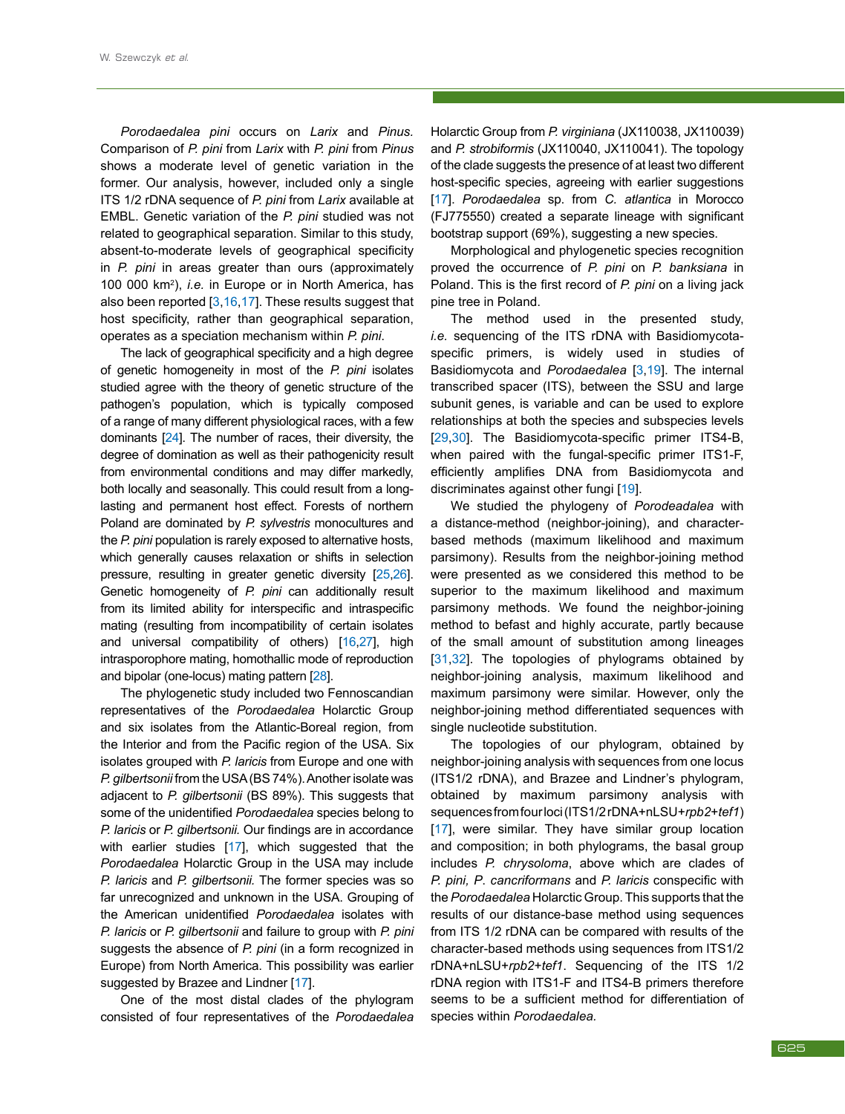*Porodaedalea pini* occurs on *Larix* and *Pinus.* Comparison of *P. pini* from *Larix* with *P. pini* from *Pinus* shows a moderate level of genetic variation in the former. Our analysis, however, included only a single ITS 1/2 rDNA sequence of *P. pini* from *Larix* available at EMBL. Genetic variation of the *P. pini* studied was not related to geographical separation. Similar to this study, absent-to-moderate levels of geographical specificity in *P. pini* in areas greater than ours (approximately 100 000 km<sup>2</sup> ), *i.e.* in Europe or in North America, has also been reported [[3,](#page--1-10)[16](#page--1-12),[17](#page--1-13)]. These results suggest that host specificity, rather than geographical separation, operates as a speciation mechanism within *P. pini*.

The lack of geographical specificity and a high degree of genetic homogeneity in most of the *P. pini* isolates studied agree with the theory of genetic structure of the pathogen's population, which is typically composed of a range of many different physiological races, with a few dominants [[24](#page--1-27)]. The number of races, their diversity, the degree of domination as well as their pathogenicity result from environmental conditions and may differ markedly, both locally and seasonally. This could result from a longlasting and permanent host effect. Forests of northern Poland are dominated by *P. sylvestris* monocultures and the *P. pini* population is rarely exposed to alternative hosts, which generally causes relaxation or shifts in selection pressure, resulting in greater genetic diversity [[25](#page--1-28),[26](#page--1-29)]. Genetic homogeneity of *P. pini* can additionally result from its limited ability for interspecific and intraspecific mating (resulting from incompatibility of certain isolates and universal compatibility of others) [[16](#page--1-12),[27](#page--1-30)], high intrasporophore mating, homothallic mode of reproduction and bipolar (one-locus) mating pattern [[28](#page--1-10)].

The phylogenetic study included two Fennoscandian representatives of the *Porodaedalea* Holarctic Group and six isolates from the Atlantic-Boreal region, from the Interior and from the Pacific region of the USA. Six isolates grouped with *P. laricis* from Europe and one with *P. gilbertsonii* from the USA (BS 74%). Another isolate was adjacent to *P. gilbertsonii* (BS 89%). This suggests that some of the unidentified *Porodaedalea* species belong to *P. laricis* or *P. gilbertsonii.* Our findings are in accordance with earlier studies [[17](#page--1-13)], which suggested that the *Porodaedalea* Holarctic Group in the USA may include *P. laricis* and *P. gilbertsonii.* The former species was so far unrecognized and unknown in the USA. Grouping of the American unidentified *Porodaedalea* isolates with *P. laricis* or *P. gilbertsonii* and failure to group with *P. pini* suggests the absence of *P. pini* (in a form recognized in Europe) from North America. This possibility was earlier suggested by Brazee and Lindner [[17](#page--1-13)].

One of the most distal clades of the phylogram consisted of four representatives of the *Porodaedalea*

Holarctic Group from *P. virginiana* (JX110038, JX110039) and *P. strobiformis* (JX110040, JX110041). The topology of the clade suggests the presence of at least two different host-specific species, agreeing with earlier suggestions [\[17](#page--1-13)]. *Porodaedalea* sp. from *C. atlantica* in Morocco (FJ775550) created a separate lineage with significant bootstrap support (69%), suggesting a new species.

Morphological and phylogenetic species recognition proved the occurrence of *P. pini* on *P. banksiana* in Poland. This is the first record of *P. pini* on a living jack pine tree in Poland.

The method used in the presented study, *i.e.* sequencing of the ITS rDNA with Basidiomycotaspecific primers, is widely used in studies of Basidiomycota and *Porodaedalea* [[3,](#page--1-10)[19](#page--1-17)]. The internal transcribed spacer (ITS), between the SSU and large subunit genes, is variable and can be used to explore relationships at both the species and subspecies levels [\[29](#page--1-31),[30\]](#page--1-32). The Basidiomycota-specific primer ITS4-B, when paired with the fungal-specific primer ITS1-F, efficiently amplifies DNA from Basidiomycota and discriminates against other fungi [[19](#page--1-17)].

We studied the phylogeny of *Porodeadalea* with a distance-method (neighbor-joining), and characterbased methods (maximum likelihood and maximum parsimony). Results from the neighbor-joining method were presented as we considered this method to be superior to the maximum likelihood and maximum parsimony methods. We found the neighbor-joining method to befast and highly accurate, partly because of the small amount of substitution among lineages [[31](#page--1-33),[32\]](#page--1-34). The topologies of phylograms obtained by neighbor-joining analysis, maximum likelihood and maximum parsimony were similar. However, only the neighbor-joining method differentiated sequences with single nucleotide substitution.

The topologies of our phylogram, obtained by neighbor-joining analysis with sequences from one locus (ITS1/2 rDNA), and Brazee and Lindner's phylogram, obtained by maximum parsimony analysis with sequences from four loci (ITS1/2 rDNA+nLSU+*rpb2*+*tef1*) [\[17](#page--1-13)], were similar. They have similar group location and composition; in both phylograms, the basal group includes *P. chrysoloma*, above which are clades of *P. pini, P*. *cancriformans* and *P. laricis* conspecific with the *Porodaedalea* Holarctic Group. This supports that the results of our distance-base method using sequences from ITS 1/2 rDNA can be compared with results of the character-based methods using sequences from ITS1/2 rDNA+nLSU+*rpb2*+*tef1*. Sequencing of the ITS 1/2 rDNA region with ITS1-F and ITS4-B primers therefore seems to be a sufficient method for differentiation of species within *Porodaedalea.*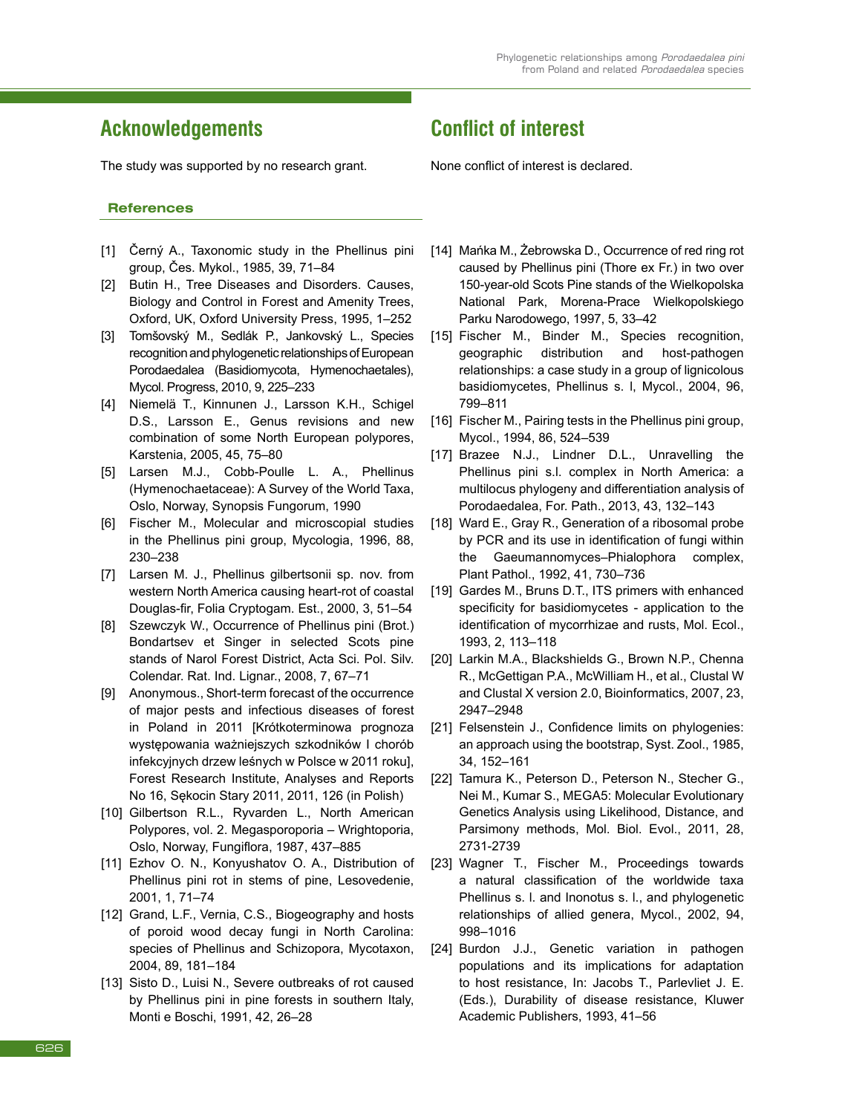## **Acknowledgements**

The study was supported by no research grant.

#### **References**

- [1] Černý A., Taxonomic study in the Phellinus pini group, Čes. Mykol., 1985, 39, 71–84
- [2] Butin H., Tree Diseases and Disorders. Causes, Biology and Control in Forest and Amenity Trees, Oxford, UK, Oxford University Press, 1995, 1–252
- [3] Tomšovský M., Sedlák P., Jankovský L., Species recognition and phylogenetic relationships of European Porodaedalea (Basidiomycota, Hymenochaetales), Mycol. Progress, 2010, 9, 225–233
- [4] Niemelä T., Kinnunen J., Larsson K.H., Schigel D.S., Larsson E., Genus revisions and new combination of some North European polypores, Karstenia, 2005, 45, 75–80
- [5] Larsen M.J., Cobb-Poulle L. A., Phellinus (Hymenochaetaceae): A Survey of the World Taxa, Oslo, Norway, Synopsis Fungorum, 1990
- [6] Fischer M., Molecular and microscopial studies in the Phellinus pini group, Mycologia, 1996, 88, 230–238
- [7] Larsen M. J., Phellinus gilbertsonii sp. nov. from western North America causing heart-rot of coastal Douglas-fir, Folia Cryptogam. Est., 2000, 3, 51–54
- [8] Szewczyk W., Occurrence of Phellinus pini (Brot.) Bondartsev et Singer in selected Scots pine stands of Narol Forest District, Acta Sci. Pol. Silv. Colendar. Rat. Ind. Lignar., 2008, 7, 67–71
- [9] Anonymous., Short-term forecast of the occurrence of major pests and infectious diseases of forest in Poland in 2011 [Krótkoterminowa prognoza występowania ważniejszych szkodników I chorób infekcyjnych drzew leśnych w Polsce w 2011 roku], Forest Research Institute, Analyses and Reports No 16, Sękocin Stary 2011, 2011, 126 (in Polish)
- [10] Gilbertson R.L., Ryvarden L., North American Polypores, vol. 2. Megasporoporia – Wrightoporia, Oslo, Norway, Fungiflora, 1987, 437–885
- [11] Ezhov O. N., Konyushatov O. A., Distribution of Phellinus pini rot in stems of pine, Lesovedenie, 2001, 1, 71–74
- [12] Grand, L.F., Vernia, C.S., Biogeography and hosts of poroid wood decay fungi in North Carolina: species of Phellinus and Schizopora, Mycotaxon, 2004, 89, 181–184
- [13] Sisto D., Luisi N., Severe outbreaks of rot caused by Phellinus pini in pine forests in southern Italy, Monti e Boschi, 1991, 42, 26–28

## **Conflict of interest**

None conflict of interest is declared.

- [14] Mańka M., Żebrowska D., Occurrence of red ring rot caused by Phellinus pini (Thore ex Fr.) in two over 150-year-old Scots Pine stands of the Wielkopolska National Park, Morena-Prace Wielkopolskiego Parku Narodowego, 1997, 5, 33–42
- [15] Fischer M., Binder M., Species recognition, geographic distribution and host-pathogen relationships: a case study in a group of lignicolous basidiomycetes, Phellinus s. l, Mycol., 2004, 96, 799–811
- [16] Fischer M., Pairing tests in the Phellinus pini group, Mycol., 1994, 86, 524–539
- [17] Brazee N.J., Lindner D.L., Unravelling the Phellinus pini s.l. complex in North America: a multilocus phylogeny and differentiation analysis of Porodaedalea, For. Path., 2013, 43, 132–143
- [18] Ward E., Gray R., Generation of a ribosomal probe by PCR and its use in identification of fungi within the Gaeumannomyces–Phialophora complex, Plant Pathol., 1992, 41, 730–736
- [19] Gardes M., Bruns D.T., ITS primers with enhanced specificity for basidiomycetes - application to the identification of mycorrhizae and rusts, Mol. Ecol., 1993, 2, 113–118
- [20] Larkin M.A., Blackshields G., Brown N.P., Chenna R., McGettigan P.A., McWilliam H., et al., Clustal W and Clustal X version 2.0, Bioinformatics, 2007, 23, 2947–2948
- [21] Felsenstein J., Confidence limits on phylogenies: an approach using the bootstrap, Syst. Zool., 1985, 34, 152–161
- [22] Tamura K., Peterson D., Peterson N., Stecher G., Nei M., Kumar S., MEGA5: Molecular Evolutionary Genetics Analysis using Likelihood, Distance, and Parsimony methods, Mol. Biol. Evol., 2011, 28, 2731-2739
- [23] Wagner T., Fischer M., Proceedings towards a natural classification of the worldwide taxa Phellinus s. l. and Inonotus s. l., and phylogenetic relationships of allied genera, Mycol., 2002, 94, 998–1016
- [24] Burdon J.J., Genetic variation in pathogen populations and its implications for adaptation to host resistance, In: Jacobs T., Parlevliet J. E. (Eds.), Durability of disease resistance, Kluwer Academic Publishers, 1993, 41–56